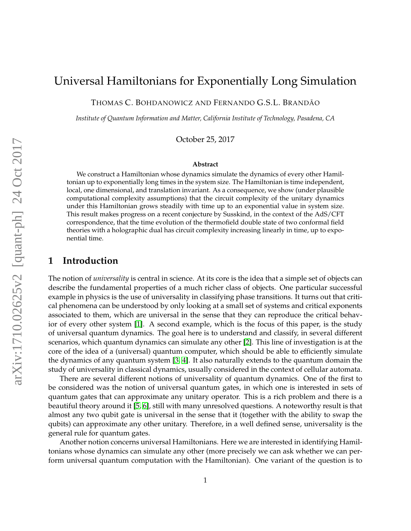# Universal Hamiltonians for Exponentially Long Simulation

THOMAS C. BOHDANOWICZ AND FERNANDO G.S.L. BRANDÃO

*Institute of Quantum Information and Matter, California Institute of Technology, Pasadena, CA*

October 25, 2017

#### **Abstract**

We construct a Hamiltonian whose dynamics simulate the dynamics of every other Hamiltonian up to exponentially long times in the system size. The Hamiltonian is time independent, local, one dimensional, and translation invariant. As a consequence, we show (under plausible computational complexity assumptions) that the circuit complexity of the unitary dynamics under this Hamiltonian grows steadily with time up to an exponential value in system size. This result makes progress on a recent conjecture by Susskind, in the context of the AdS/CFT correspondence, that the time evolution of the thermofield double state of two conformal field theories with a holographic dual has circuit complexity increasing linearly in time, up to exponential time.

# **1 Introduction**

The notion of *universality* is central in science. At its core is the idea that a simple set of objects can describe the fundamental properties of a much richer class of objects. One particular successful example in physics is the use of universality in classifying phase transitions. It turns out that critical phenomena can be understood by only looking at a small set of systems and critical exponents associated to them, which are universal in the sense that they can reproduce the critical behavior of every other system [\[1\]](#page-31-0). A second example, which is the focus of this paper, is the study of universal quantum dynamics. The goal here is to understand and classify, in several different scenarios, which quantum dynamics can simulate any other [\[2\]](#page-32-0). This line of investigation is at the core of the idea of a (universal) quantum computer, which should be able to efficiently simulate the dynamics of any quantum system [\[3,](#page-32-1) [4\]](#page-32-2). It also naturally extends to the quantum domain the study of universality in classical dynamics, usually considered in the context of cellular automata.

There are several different notions of universality of quantum dynamics. One of the first to be considered was the notion of universal quantum gates, in which one is interested in sets of quantum gates that can approximate any unitary operator. This is a rich problem and there is a beautiful theory around it [\[5,](#page-32-3) [6\]](#page-32-4), still with many unresolved questions. A noteworthy result is that almost any two qubit gate is universal in the sense that it (together with the ability to swap the qubits) can approximate any other unitary. Therefore, in a well defined sense, universality is the general rule for quantum gates.

Another notion concerns universal Hamiltonians. Here we are interested in identifying Hamiltonians whose dynamics can simulate any other (more precisely we can ask whether we can perform universal quantum computation with the Hamiltonian). One variant of the question is to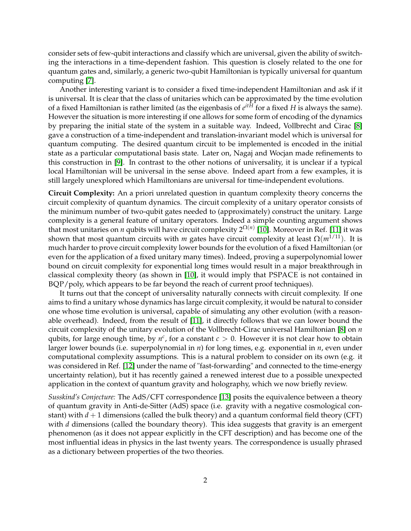consider sets of few-qubit interactions and classify which are universal, given the ability of switching the interactions in a time-dependent fashion. This question is closely related to the one for quantum gates and, similarly, a generic two-qubit Hamiltonian is typically universal for quantum computing [\[7\]](#page-32-5).

Another interesting variant is to consider a fixed time-independent Hamiltonian and ask if it is universal. It is clear that the class of unitaries which can be approximated by the time evolution of a fixed Hamiltonian is rather limited (as the eigenbasis of *e itH* for a fixed *H* is always the same). However the situation is more interesting if one allows for some form of encoding of the dynamics by preparing the initial state of the system in a suitable way. Indeed, Vollbrecht and Cirac [\[8\]](#page-32-6) gave a construction of a time-independent and translation-invariant model which is universal for quantum computing. The desired quantum circuit to be implemented is encoded in the initial state as a particular computational basis state. Later on, Nagaj and Wocjan made refinements to this construction in [\[9\]](#page-32-7). In contrast to the other notions of universality, it is unclear if a typical local Hamiltonian will be universal in the sense above. Indeed apart from a few examples, it is still largely unexplored which Hamiltonians are universal for time-independent evolutions.

**Circuit Complexity:** An a priori unrelated question in quantum complexity theory concerns the circuit complexity of quantum dynamics. The circuit complexity of a unitary operator consists of the minimum number of two-qubit gates needed to (approximately) construct the unitary. Large complexity is a general feature of unitary operators. Indeed a simple counting argument shows that most unitaries on *n* qubits will have circuit complexity 2<sup>Ω(*n*)</sup> [\[10\]](#page-32-8). Moreover in Ref. [\[11\]](#page-32-9) it was shown that most quantum circuits with *m* gates have circuit complexity at least  $\Omega(m^{1/11})$ . It is much harder to prove circuit complexity lower bounds for the evolution of a fixed Hamiltonian (or even for the application of a fixed unitary many times). Indeed, proving a superpolynomial lower bound on circuit complexity for exponential long times would result in a major breakthrough in classical complexity theory (as shown in [\[10\]](#page-32-8), it would imply that PSPACE is not contained in BQP/poly, which appears to be far beyond the reach of current proof techniques).

It turns out that the concept of universality naturally connects with circuit complexity. If one aims to find a unitary whose dynamics has large circuit complexity, it would be natural to consider one whose time evolution is universal, capable of simulating any other evolution (with a reasonable overhead). Indeed, from the result of [\[11\]](#page-32-9), it directly follows that we can lower bound the circuit complexity of the unitary evolution of the Vollbrecht-Cirac universal Hamiltonian [\[8\]](#page-32-6) on *n* qubits, for large enough time, by  $n^c$ , for a constant  $c > 0$ . However it is not clear how to obtain larger lower bounds (i.e. superpolynomial in *n*) for long times, e.g. exponential in *n*, even under computational complexity assumptions. This is a natural problem to consider on its own (e.g. it was considered in Ref. [\[12\]](#page-32-10) under the name of "fast-forwarding" and connected to the time-energy uncertainty relation), but it has recently gained a renewed interest due to a possible unexpected application in the context of quantum gravity and holography, which we now briefly review.

*Susskind's Conjecture:* The AdS/CFT correspondence [\[13\]](#page-32-11) posits the equivalence between a theory of quantum gravity in Anti-de-Sitter (AdS) space (i.e. gravity with a negative cosmological constant) with  $d+1$  dimensions (called the bulk theory) and a quantum conformal field theory (CFT) with *d* dimensions (called the boundary theory). This idea suggests that gravity is an emergent phenomenon (as it does not appear explicitly in the CFT description) and has become one of the most influential ideas in physics in the last twenty years. The correspondence is usually phrased as a dictionary between properties of the two theories.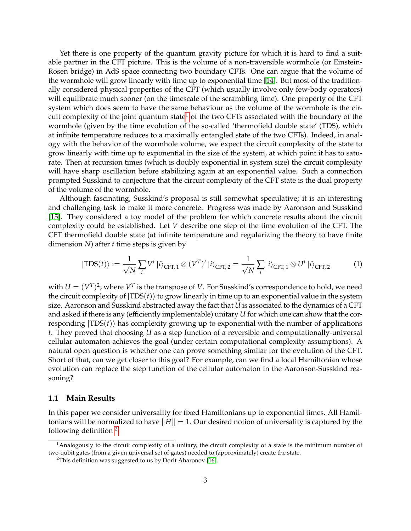Yet there is one property of the quantum gravity picture for which it is hard to find a suitable partner in the CFT picture. This is the volume of a non-traversible wormhole (or Einstein-Rosen bridge) in AdS space connecting two boundary CFTs. One can argue that the volume of the wormhole will grow linearly with time up to exponential time [\[14\]](#page-32-12). But most of the traditionally considered physical properties of the CFT (which usually involve only few-body operators) will equilibrate much sooner (on the timescale of the scrambling time). One property of the CFT system which does seem to have the same behaviour as the volume of the wormhole is the cir-cuit complexity of the joint quantum state<sup>[1](#page-2-0)</sup> of the two CFTs associated with the boundary of the wormhole (given by the time evolution of the so-called 'thermofield double state' (TDS), which at infinite temperature reduces to a maximally entangled state of the two CFTs). Indeed, in analogy with the behavior of the wormhole volume, we expect the circuit complexity of the state to grow linearly with time up to exponential in the size of the system, at which point it has to saturate. Then at recursion times (which is doubly exponential in system size) the circuit complexity will have sharp oscillation before stabilizing again at an exponential value. Such a connection prompted Susskind to conjecture that the circuit complexity of the CFT state is the dual property of the volume of the wormhole.

Although fascinating, Susskind's proposal is still somewhat speculative; it is an interesting and challenging task to make it more concrete. Progress was made by Aaronson and Susskind [\[15\]](#page-32-13). They considered a toy model of the problem for which concrete results about the circuit complexity could be established. Let *V* describe one step of the time evolution of the CFT. The CFT thermofield double state (at infinite temperature and regularizing the theory to have finite dimension *N*) after *t* time steps is given by

$$
|\text{TDS}(t)\rangle := \frac{1}{\sqrt{N}} \sum_{i} V^{t} |i\rangle_{\text{CFT, 1}} \otimes (V^{T})^{t} |i\rangle_{\text{CFT, 2}} = \frac{1}{\sqrt{N}} \sum_{i} |i\rangle_{\text{CFT, 1}} \otimes U^{t} |i\rangle_{\text{CFT, 2}} \tag{1}
$$

with  $U = (V^T)^2$ , where  $V^T$  is the transpose of V. For Susskind's correspondence to hold, we need the circuit complexity of  $|TDS(t)\rangle$  to grow linearly in time up to an exponential value in the system size. Aaronson and Susskind abstracted away the fact that *U* is associated to the dynamics of a CFT and asked if there is any (efficiently implementable) unitary *U* for which one can show that the corresponding  $|TDS(t)\rangle$  has complexity growing up to exponential with the number of applications *t*. They proved that choosing *U* as a step function of a reversible and computationally-universal cellular automaton achieves the goal (under certain computational complexity assumptions). A natural open question is whether one can prove something similar for the evolution of the CFT. Short of that, can we get closer to this goal? For example, can we find a local Hamiltonian whose evolution can replace the step function of the cellular automaton in the Aaronson-Susskind reasoning?

#### **1.1 Main Results**

In this paper we consider universality for fixed Hamiltonians up to exponential times. All Hamiltonians will be normalized to have  $||H|| = 1$ . Our desired notion of universality is captured by the following definition<sup>[2](#page-2-1)</sup>:

<span id="page-2-0"></span><sup>1</sup>Analogously to the circuit complexity of a unitary, the circuit complexity of a state is the minimum number of two-qubit gates (from a given universal set of gates) needed to (approximately) create the state.

<span id="page-2-1"></span><sup>&</sup>lt;sup>2</sup>This definition was suggested to us by Dorit Aharonov [\[16\]](#page-32-14).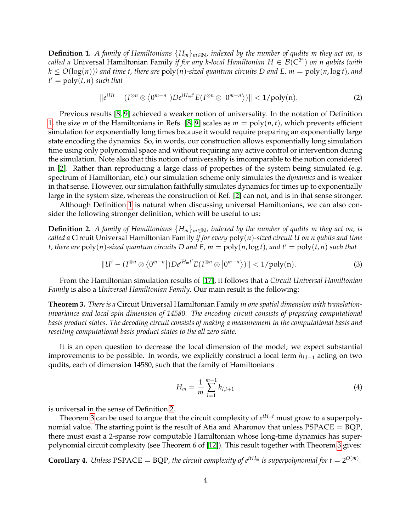<span id="page-3-0"></span>**Definition 1.** *A family of Hamiltonians* {*Hm*}*m*∈**N***, indexed by the number of qudits m they act on, is called a* Universal Hamiltonian Family *if for any k-local Hamiltonian H*  $\in$   $\mathcal{B}(\mathbb{C}^{2^n})$  *on n qubits (with*  $k \leq O(\log(n))$  and time t, there are  $poly(n)$ -sized quantum circuits D and E,  $m = poly(n, \log t)$ , and  $t' = \text{poly}(t, n)$  *such that* 

$$
\|e^{iHt} - (I^{\otimes n} \otimes \langle 0^{m-n} |) D e^{iH_m t'} E(I^{\otimes n} \otimes | 0^{m-n} \rangle) \| < 1/\text{poly}(n).
$$
 (2)

Previous results [\[8,](#page-32-6) [9\]](#page-32-7) achieved a weaker notion of universality. In the notation of Definition [1,](#page-3-0) the size *m* of the Hamiltonians in Refs. [\[8,](#page-32-6) [9\]](#page-32-7) scales as  $m = \text{poly}(n, t)$ , which prevents efficient simulation for exponentially long times because it would require preparing an exponentially large state encoding the dynamics. So, in words, our construction allows exponentially long simulation time using only polynomial space and without requiring any active control or intervention during the simulation. Note also that this notion of universality is imcomparable to the notion considered in [\[2\]](#page-32-0). Rather than reproducing a large class of properties of the system being simulated (e.g. spectrum of Hamiltonian, etc.) our simulation scheme only simulates the *dynamics* and is weaker in that sense. However, our simulation faithfully simulates dynamics for times up to exponentially large in the system size, whereas the construction of Ref. [\[2\]](#page-32-0) can not, and is in that sense stronger.

Although Definition [1](#page-3-0) is natural when discussing universal Hamiltonians, we can also consider the following stronger definition, which will be useful to us:

<span id="page-3-1"></span>**Definition 2.** *A family of Hamiltonians*  ${H_m}_{m \in \mathbb{N}}$ *, indexed by the number of qudits m they act on, is called a* Circuit Universal Hamiltonian Family *if for every* poly(*n*)*-sized circuit U on n qubits and time t*, there are  $poly(n)$ -sized quantum circuits D and E,  $m = poly(n, \log t)$ , and  $t' = poly(t, n)$  such that

$$
||U^t - (I^{\otimes n} \otimes \langle 0^{m-n} |) D e^{i H_m t'} E(I^{\otimes n} \otimes | 0^{m-n} \rangle) || < 1 / \text{poly}(n).
$$
 (3)

From the Hamiltonian simulation results of [\[17\]](#page-32-15), it follows that a *Circuit Universal Hamiltonian Family* is also a *Universal Hamiltonian Family*. Our main result is the following:

<span id="page-3-2"></span>**Theorem 3.** *There is a* Circuit Universal Hamiltonian Family *in one spatial dimension with translationinvariance and local spin dimension of 14580. The encoding circuit consists of preparing computational basis product states. The decoding circuit consists of making a measurement in the computational basis and resetting computational basis product states to the all zero state.*

It is an open question to decrease the local dimension of the model; we expect substantial improvements to be possible. In words, we explicitly construct a local term  $h_{l,l+1}$  acting on two qudits, each of dimension 14580, such that the family of Hamiltonians

$$
H_m = \frac{1}{m} \sum_{l=1}^{m-1} h_{l,l+1}
$$
 (4)

is universal in the sense of Definition [2.](#page-3-1)

Theorem [3](#page-3-2) can be used to argue that the circuit complexity of *e iHm<sup>t</sup>* must grow to a superpolynomial value. The starting point is the result of Atia and Aharonov that unless  $PSPACE = BQP$ , there must exist a 2-sparse row computable Hamiltonian whose long-time dynamics has superpolynomial circuit complexity (see Theorem 6 of [\[12\]](#page-32-10)). This result together with Theorem [3](#page-3-2) gives:

<span id="page-3-3"></span>**Corollary 4.** Unless PSPACE = BQP, the circuit complexity of  $e^{itH_m}$  is superpolynomial for  $t = 2^{O(m)}$ .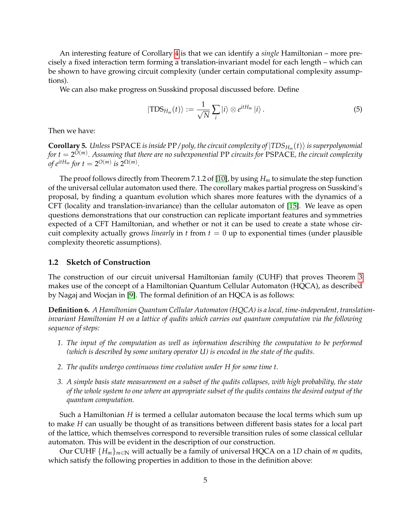An interesting feature of Corollary [4](#page-3-3) is that we can identify a *single* Hamiltonian – more precisely a fixed interaction term forming a translation-invariant model for each length – which can be shown to have growing circuit complexity (under certain computational complexity assumptions).

We can also make progress on Susskind proposal discussed before. Define

$$
|\text{TDS}_{H_m}(t)\rangle := \frac{1}{\sqrt{N}}\sum_{i}|i\rangle \otimes e^{itH_m}|i\rangle.
$$
 (5)

Then we have:

 $\bf{Corollary 5.}$  Unless  $\rm{PSPACE}$  is inside  $\rm{PP/poly}$ , the circuit complexity of  $\ket{\rm{TDS}_{H_m}(t)}$  is superpolynomial *for t* = 2 *O*(*m*) *. Assuming that there are no subexponential* PP *circuits for* PSPACE*, the circuit complexity of*  $e^{itH_m}$  for  $t = 2^{O(m)}$  is  $2^{\Omega(m)}$ .

The proof follows directly from Theorem 7.1.2 of [\[10\]](#page-32-8), by using *H<sup>m</sup>* to simulate the step function of the universal cellular automaton used there. The corollary makes partial progress on Susskind's proposal, by finding a quantum evolution which shares more features with the dynamics of a CFT (locality and translation-invariance) than the cellular automaton of [\[15\]](#page-32-13). We leave as open questions demonstrations that our construction can replicate important features and symmetries expected of a CFT Hamiltonian, and whether or not it can be used to create a state whose circuit complexity actually grows *linearly* in  $t$  from  $t = 0$  up to exponential times (under plausible complexity theoretic assumptions).

## **1.2 Sketch of Construction**

The construction of our circuit universal Hamiltonian family (CUHF) that proves Theorem [3](#page-3-2) makes use of the concept of a Hamiltonian Quantum Cellular Automaton (HQCA), as described by Nagaj and Wocjan in [\[9\]](#page-32-7). The formal definition of an HQCA is as follows:

**Definition 6.** *A Hamiltonian Quantum Cellular Automaton (HQCA) is a local, time-independent, translationinvariant Hamiltonian H on a lattice of qudits which carries out quantum computation via the following sequence of steps:*

- *1. The input of the computation as well as information describing the computation to be performed (which is described by some unitary operator U) is encoded in the state of the qudits.*
- *2. The qudits undergo continuous time evolution under H for some time t.*
- *3. A simple basis state measurement on a subset of the qudits collapses, with high probability, the state of the whole system to one where an appropriate subset of the qudits contains the desired output of the quantum computation.*

Such a Hamiltonian *H* is termed a cellular automaton because the local terms which sum up to make *H* can usually be thought of as transitions between different basis states for a local part of the lattice, which themselves correspond to reversible transition rules of some classical cellular automaton. This will be evident in the description of our construction.

Our CUHF  ${H_m}_{m \in \mathbb{N}}$  will actually be a family of universal HQCA on a 1D chain of *m* qudits, which satisfy the following properties in addition to those in the definition above: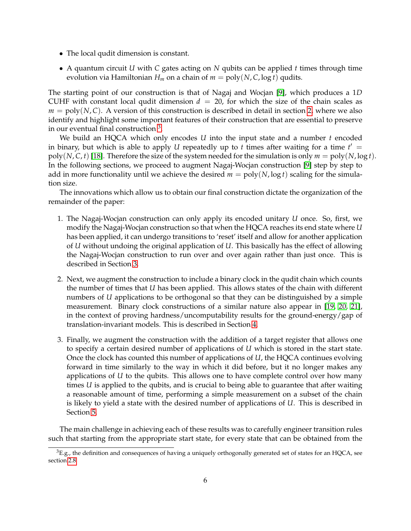- The local qudit dimension is constant.
- A quantum circuit *U* with *C* gates acting on *N* qubits can be applied *t* times through time evolution via Hamiltonian  $H_m$  on a chain of  $m = \text{poly}(N, C, \log t)$  qudits.

The starting point of our construction is that of Nagaj and Wocjan [\[9\]](#page-32-7), which produces a 1*D* CUHF with constant local qudit dimension  $d = 20$ , for which the size of the chain scales as  $m = \text{poly}(N, C)$ . A version of this construction is described in detail in section [2,](#page-6-0) where we also identify and highlight some important features of their construction that are essential to preserve in our eventual final construction  $3$ .

We build an HQCA which only encodes *U* into the input state and a number *t* encoded in binary, but which is able to apply  $U$  repeatedly up to  $t$  times after waiting for a time  $t' =$ poly(*N*, *C*, *t*) [\[18\]](#page-32-16). Therefore the size of the system needed for the simulation is only  $m = \text{poly}(N, \log t)$ . In the following sections, we proceed to augment Nagaj-Wocjan construction [\[9\]](#page-32-7) step by step to add in more functionality until we achieve the desired  $m = poly(N, \log t)$  scaling for the simulation size.

The innovations which allow us to obtain our final construction dictate the organization of the remainder of the paper:

- 1. The Nagaj-Wocjan construction can only apply its encoded unitary *U* once. So, first, we modify the Nagaj-Wocjan construction so that when the HQCA reaches its end state where *U* has been applied, it can undergo transitions to 'reset' itself and allow for another application of *U* without undoing the original application of *U*. This basically has the effect of allowing the Nagaj-Wocjan construction to run over and over again rather than just once. This is described in Section [3.](#page-14-0)
- 2. Next, we augment the construction to include a binary clock in the qudit chain which counts the number of times that *U* has been applied. This allows states of the chain with different numbers of *U* applications to be orthogonal so that they can be distinguished by a simple measurement. Binary clock constructions of a similar nature also appear in [\[19,](#page-32-17) [20,](#page-33-0) [21\]](#page-33-1), in the context of proving hardness/uncomputability results for the ground-energy/gap of translation-invariant models. This is described in Section [4.](#page-17-0)
- 3. Finally, we augment the construction with the addition of a target register that allows one to specify a certain desired number of applications of *U* which is stored in the start state. Once the clock has counted this number of applications of *U*, the HQCA continues evolving forward in time similarly to the way in which it did before, but it no longer makes any applications of *U* to the qubits. This allows one to have complete control over how many times *U* is applied to the qubits, and is crucial to being able to guarantee that after waiting a reasonable amount of time, performing a simple measurement on a subset of the chain is likely to yield a state with the desired number of applications of *U*. This is described in Section [5.](#page-24-0)

The main challenge in achieving each of these results was to carefully engineer transition rules such that starting from the appropriate start state, for every state that can be obtained from the

<span id="page-5-0"></span> ${}^{3}E.g.,$  the definition and consequences of having a uniquely orthogonally generated set of states for an HQCA, see section [2.8](#page-12-0)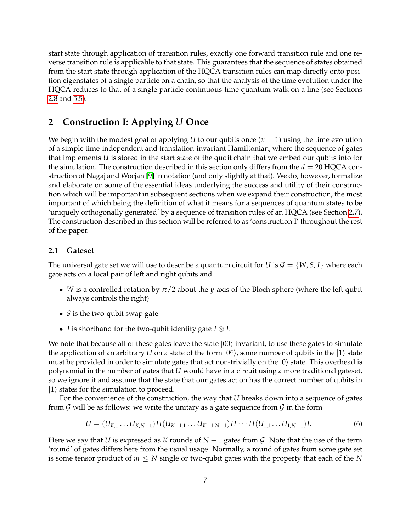start state through application of transition rules, exactly one forward transition rule and one reverse transition rule is applicable to that state. This guarantees that the sequence of states obtained from the start state through application of the HQCA transition rules can map directly onto position eigenstates of a single particle on a chain, so that the analysis of the time evolution under the HQCA reduces to that of a single particle continuous-time quantum walk on a line (see Sections [2.8](#page-12-0) and [5.5\)](#page-29-0).

# <span id="page-6-0"></span>**2 Construction I: Applying** *U* **Once**

We begin with the modest goal of applying *U* to our qubits once  $(x = 1)$  using the time evolution of a simple time-independent and translation-invariant Hamiltonian, where the sequence of gates that implements *U* is stored in the start state of the qudit chain that we embed our qubits into for the simulation. The construction described in this section only differs from the *d* = 20 HQCA construction of Nagaj and Wocjan [\[9\]](#page-32-7) in notation (and only slightly at that). We do, however, formalize and elaborate on some of the essential ideas underlying the success and utility of their construction which will be important in subsequent sections when we expand their construction, the most important of which being the definition of what it means for a sequences of quantum states to be 'uniquely orthogonally generated' by a sequence of transition rules of an HQCA (see Section [2.7\)](#page-11-0). The construction described in this section will be referred to as 'construction I' throughout the rest of the paper.

## **2.1 Gateset**

The universal gate set we will use to describe a quantum circuit for *U* is  $\mathcal{G} = \{W, S, I\}$  where each gate acts on a local pair of left and right qubits and

- *W* is a controlled rotation by  $\pi/2$  about the *y*-axis of the Bloch sphere (where the left qubit always controls the right)
- *S* is the two-qubit swap gate
- *I* is shorthand for the two-qubit identity gate *I* ⊗ *I*.

We note that because all of these gates leave the state  $|00\rangle$  invariant, to use these gates to simulate the application of an arbitrary  $U$  on a state of the form  $|0^n\rangle$ , some number of qubits in the  $|1\rangle$  state must be provided in order to simulate gates that act non-trivially on the  $|0\rangle$  state. This overhead is polynomial in the number of gates that *U* would have in a circuit using a more traditional gateset, so we ignore it and assume that the state that our gates act on has the correct number of qubits in  $|1\rangle$  states for the simulation to proceed.

For the convenience of the construction, the way that *U* breaks down into a sequence of gates from  $G$  will be as follows: we write the unitary as a gate sequence from  $G$  in the form

<span id="page-6-1"></span>
$$
U = (U_{K,1} \dots U_{K,N-1})II(U_{K-1,1} \dots U_{K-1,N-1})II \dots II(U_{1,1} \dots U_{1,N-1})I.
$$
\n(6)

Here we say that *U* is expressed as *K* rounds of *N* − 1 gates from G. Note that the use of the term 'round' of gates differs here from the usual usage. Normally, a round of gates from some gate set is some tensor product of  $m \leq N$  single or two-qubit gates with the property that each of the N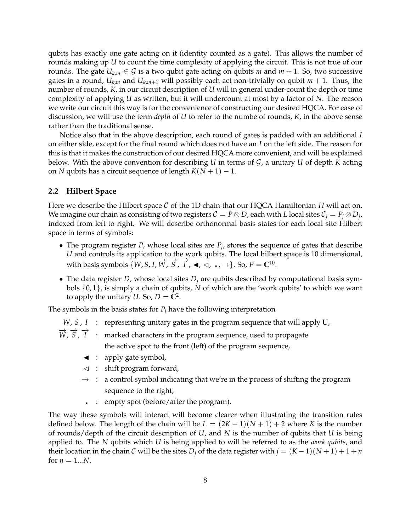qubits has exactly one gate acting on it (identity counted as a gate). This allows the number of rounds making up *U* to count the time complexity of applying the circuit. This is not true of our rounds. The gate  $U_{k,m} \in \mathcal{G}$  is a two qubit gate acting on qubits *m* and  $m + 1$ . So, two successive gates in a round,  $U_{k,m}$  and  $U_{k,m+1}$  will possibly each act non-trivially on qubit  $m + 1$ . Thus, the number of rounds, *K*, in our circuit description of *U* will in general under-count the depth or time complexity of applying *U* as written, but it will undercount at most by a factor of *N*. The reason we write our circuit this way is for the convenience of constructing our desired HQCA. For ease of discussion, we will use the term *depth* of *U* to refer to the numbe of rounds, *K*, in the above sense rather than the traditional sense.

Notice also that in the above description, each round of gates is padded with an additional *I* on either side, except for the final round which does not have an *I* on the left side. The reason for this is that it makes the construction of our desired HQCA more convenient, and will be explained below. With the above convention for describing *U* in terms of G, a unitary *U* of depth *K* acting on *N* qubits has a circuit sequence of length  $K(N + 1) - 1$ .

#### **2.2 Hilbert Space**

Here we describe the Hilbert space C of the 1D chain that our HQCA Hamiltonian *H* will act on. We imagine our chain as consisting of two registers  $\mathcal{C} = P \otimes D$ , each with  $L$  local sites  $\mathcal{C}_j = P_j \otimes D_j$ , indexed from left to right. We will describe orthonormal basis states for each local site Hilbert space in terms of symbols:

- The program register *P*, whose local sites are  $P_j$ , stores the sequence of gates that describe *U* and controls its application to the work qubits. The local hilbert space is 10 dimensional, with basis symbols  $\{W, S, I, \overrightarrow{W}, \overrightarrow{S}, \overrightarrow{I}, \blacktriangleleft, \triangleleft, \ldots, \rightarrow\} \}$ . So,  $P = \mathbb{C}^{10}$ .
- The data register *D*, whose local sites  $D_i$  are qubits described by computational basis symbols {0, 1}, is simply a chain of qubits, *N* of which are the 'work qubits' to which we want to apply the unitary *U*. So,  $D = \mathbb{C}^2$ .

The symbols in the basis states for  $P_j$  have the following interpretation

- <span id="page-7-0"></span>*W*, *S*, *I* : representing unitary gates in the program sequence that will apply U,
- $\overrightarrow{W}$ ,  $\overrightarrow{S}$ ,  $\overrightarrow{I}$  : marked characters in the program sequence, used to propagate the active spot to the front (left) of the program sequence,
	- $\triangleleft$  : apply gate symbol,
	- $\lhd$  : shift program forward,
	- $\rightarrow$  : a control symbol indicating that we're in the process of shifting the program sequence to the right,
	- : empty spot (before/after the program).

The way these symbols will interact will become clearer when illustrating the transition rules defined below. The length of the chain will be  $L = (2K - 1)(N + 1) + 2$  where K is the number of rounds/depth of the circuit description of *U*, and *N* is the number of qubits that *U* is being applied to. The *N* qubits which *U* is being applied to will be referred to as the *work qubits*, and their location in the chain C will be the sites  $D_j$  of the data register with  $j = (K - 1)(N + 1) + 1 + n$ for  $n = 1...N$ .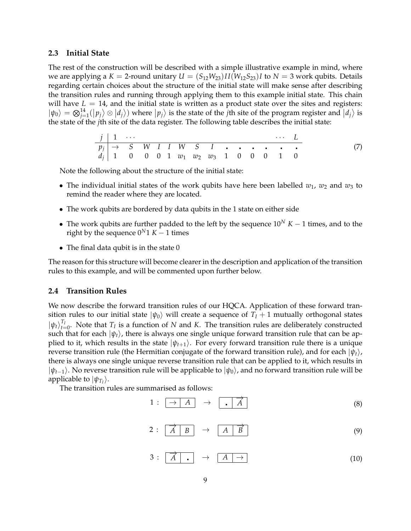#### **2.3 Initial State**

The rest of the construction will be described with a simple illustrative example in mind, where we are applying a  $K = 2$ -round unitary  $U = (S_{12}W_{23})II(W_{12}S_{23})I$  to  $N = 3$  work qubits. Details regarding certain choices about the structure of the initial state will make sense after describing the transition rules and running through applying them to this example initial state. This chain will have  $L = 14$ , and the initial state is written as a product state over the sites and registers:  $|\psi_0\rangle = \bigotimes_{j=1}^{14} (|p_j\rangle \otimes |d_j\rangle)$  where  $|p_j\rangle$  is the state of the *j*th site of the program register and  $|d_j\rangle$  is the state of the *j*th site of the data register. The following table describes the initial state:

$$
\begin{array}{c|cccccccccccc}\nj & 1 & \cdots & & & & \cdots & L \\
\hline\np_j & \rightarrow & S & W & I & I & W & S & I & \cdots & \cdots & \cdots & \cdots \\
d_j & 1 & 0 & 0 & 0 & 1 & w_1 & w_2 & w_3 & 1 & 0 & 0 & 0 & 1 & 0\n\end{array} \tag{7}
$$

Note the following about the structure of the initial state:

- The individual initial states of the work qubits have here been labelled  $w_1$ ,  $w_2$  and  $w_3$  to remind the reader where they are located.
- The work qubits are bordered by data qubits in the 1 state on either side
- The work qubits are further padded to the left by the sequence  $10^N K 1$  times, and to the right by the sequence  $0^N1 K - 1$  times
- The final data qubit is in the state 0

The reason for this structure will become clearer in the description and application of the transition rules to this example, and will be commented upon further below.

## **2.4 Transition Rules**

We now describe the forward transition rules of our HQCA. Application of these forward transition rules to our initial state  $|\psi_0\rangle$  will create a sequence of  $T_I + 1$  mutually orthogonal states  $|\psi_t\rangle_{t=0}^{T_I}$ . Note that  $T_I$  is a function of *N* and *K*. The transition rules are deliberately constructed such that for each  $|\psi_t\rangle$ , there is always one single unique forward transition rule that can be applied to it, which results in the state  $|\psi_{t+1}\rangle$ . For every forward transition rule there is a unique reverse transition rule (the Hermitian conjugate of the forward transition rule), and for each  $|\psi_t\rangle$ , there is always one single unique reverse transition rule that can be applied to it, which results in  $|\psi_{t-1}\rangle$ . No reverse transition rule will be applicable to  $|\psi_0\rangle$ , and no forward transition rule will be applicable to  $|\psi_{T_I}\rangle$ .

The transition rules are summarised as follows:

$$
1: \begin{array}{|c|c|c|c|c|}\hline \rightarrow & A & \rightarrow & \begin{array}{|c|c|c|}\hline & A & \\\hline \end{array} & \begin{array}{|c|c|c|}\hline A & \\\hline \end{array} & \begin{array}{|c|c|c|c|}\hline A & \\\hline \end{array} & \begin{array}{|c|c|c|c|}\hline \end{array} & \begin{array}{|c|c|c|c|}\hline \end{array} & \begin{array}{|c|c|c|c|}\hline \end{array} & \begin{array}{|c|c|c|c|}\hline \end{array} & \begin{array}{|c|c|c|c|}\hline \end{array} & \begin{array}{|c|c|c|c|}\hline \end{array} & \begin{array}{|c|c|c|c|}\hline \end{array} & \begin{array}{|c|c|c|c|c|}\hline \end{array} & \begin{array}{|c|c|c|c|c|}\hline \end{array} & \begin{array}{|c|c|c|c|c|}\hline \end{array} & \begin{array}{|c|c|c|c|c|}\hline \end{array} & \begin{array}{|c|c|c|c|c|}\hline \end{array} & \begin{array}{|c|c|c|c|c|}\hline \end{array} & \begin{array}{|c|c|c|c|c|}\hline \end{array} & \begin{array}{|c|c|c|c|c|}\hline \end{array} & \begin{array}{|c|c|c|c|c|}\hline \end{array} & \begin{array}{|c|c|c|c|}\hline \end{array} & \begin{array}{|c|c|c|c|}\hline \end{array} & \begin{array}{|c|c|c|c|}\hline \end{array} & \begin{array}{|c|c|c|c|}\hline \end{array} & \begin{array}{|c|c|c|c|c|}\hline \end{array} & \begin{array}{|c|c|c|c|}\hline \end{array} & \begin{array}{|c|c|c|c|}\hline \end{array} & \begin{array}{|c|c|c|c|}\hline \end{array} & \begin{array}{|c|c|c|c|}\hline \end{array} & \begin{array}{|c|c|c|c|}\hline \end{array} & \begin{array}{|c|c|c|c|}\hline \end{array} & \begin{array}{
$$

$$
2: \begin{array}{|c|c|c|c|c|}\hline \overrightarrow{A} & B \\ \hline \end{array} \rightarrow \begin{array}{|c|c|c|c|}\hline A & \overrightarrow{B} \\ \hline \end{array} \tag{9}
$$

$$
3: \begin{array}{|c|c|c|c|c|}\n\hline\n\overrightarrow{A} & \rightarrow & A & \rightarrow \\
\hline\n\end{array}
$$
\n(10)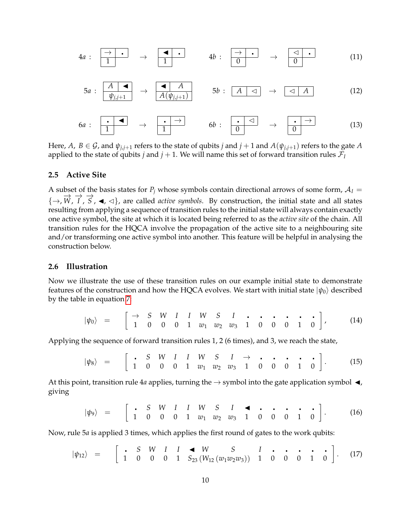

Here, *A*, *B*  $\in$  *G*, and  $\psi_{j,j+1}$  refers to the state of qubits *j* and *j* + 1 and *A*( $\psi_{j,j+1}$ ) refers to the gate *A* applied to the state of qubits *j* and  $j + 1$ . We will name this set of forward transition rules  $\mathcal{F}_I$ 

#### **2.5 Active Site**

A subset of the basis states for  $P_i$  whose symbols contain directional arrows of some form,  $A_I =$  $\{\rightarrow, \overrightarrow{W}, \overrightarrow{I}, \overrightarrow{S}, \blacktriangleleft, \triangleleft\}$ , are called *active symbols*. By construction, the initial state and all states resulting from applying a sequence of transition rules to the initial state will always contain exactly one active symbol, the site at which it is located being referred to as the *active site* of the chain. All transition rules for the HQCA involve the propagation of the active site to a neighbouring site and/or transforming one active symbol into another. This feature will be helpful in analysing the construction below.

### **2.6 Illustration**

Now we illustrate the use of these transition rules on our example initial state to demonstrate features of the construction and how the HQCA evolves. We start with initial state  $|\psi_0\rangle$  described by the table in equation [7:](#page-7-0)

<span id="page-9-3"></span>
$$
|\psi_0\rangle = \begin{bmatrix} \rightarrow & S & W & I & I & W & S & I & \cdots & \cdots & \cdots & \cdots \\ 1 & 0 & 0 & 0 & 1 & w_1 & w_2 & w_3 & 1 & 0 & 0 & 0 & 1 & 0 \end{bmatrix},
$$
 (14)

Applying the sequence of forward transition rules 1, 2 (6 times), and 3, we reach the state,

<span id="page-9-0"></span>
$$
|\psi_8\rangle = \begin{bmatrix} . & S & W & I & I & W & S & I & \rightarrow & . & . & . & . & . \\ 1 & 0 & 0 & 0 & 1 & w_1 & w_2 & w_3 & 1 & 0 & 0 & 0 & 1 & 0 \end{bmatrix}.
$$
 (15)

At this point, transition rule 4*a* applies, turning the  $\rightarrow$  symbol into the gate application symbol  $\blacktriangleleft$ , giving

<span id="page-9-1"></span>
$$
|\psi_9\rangle = \begin{bmatrix} . & S & W & I & I & W & S & I & \bullet & . & . & . & . & . \\ 1 & 0 & 0 & 0 & 1 & w_1 & w_2 & w_3 & 1 & 0 & 0 & 0 & 1 & 0 \end{bmatrix}
$$
 (16)

Now, rule 5*a* is applied 3 times, which applies the first round of gates to the work qubits:

<span id="page-9-2"></span>
$$
|\psi_{12}\rangle = \begin{bmatrix} . & S & W & I & I & \blacktriangleleft & W & S & I & . & . & . & . & . \\ 1 & 0 & 0 & 0 & 1 & S_{23} \left( W_{12} \left( w_1 w_2 w_3 \right) \right) & 1 & 0 & 0 & 0 & 1 & 0 \end{bmatrix} . \tag{17}
$$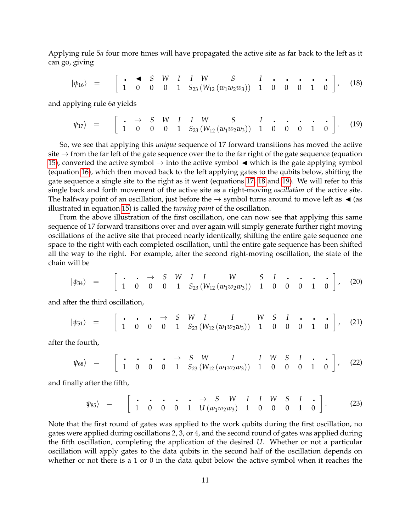Applying rule 5*a* four more times will have propagated the active site as far back to the left as it can go, giving

<span id="page-10-0"></span>
$$
|\psi_{16}\rangle = \begin{bmatrix} \cdot & \bullet & S & W & I & I & W & S & I & \cdot & \cdot & \cdot & \cdot & \cdot \\ 1 & 0 & 0 & 0 & 1 & S_{23} \left( W_{12} \left( w_1 w_2 w_3 \right) \right) & 1 & 0 & 0 & 0 & 1 & 0 \end{bmatrix}, \quad (18)
$$

and applying rule 6*a* yields

<span id="page-10-1"></span>
$$
|\psi_{17}\rangle = \begin{bmatrix} \cdot & \to & S & W & I & I & W & S & I & \cdot & \cdot & \cdot & \cdot & \cdot \\ 1 & 0 & 0 & 0 & 1 & S_{23} \ (W_{12} (w_1 w_2 w_3)) & 1 & 0 & 0 & 0 & 1 & 0 \end{bmatrix}.
$$
 (19)

So, we see that applying this *unique* sequence of 17 forward transitions has moved the active site  $\rightarrow$  from the far left of the gate sequence over the to the far right of the gate sequence (equation [15\)](#page-9-0), converted the active symbol  $\rightarrow$  into the active symbol  $\blacktriangleleft$  which is the gate applying symbol (equation [16\)](#page-9-1), which then moved back to the left applying gates to the qubits below, shifting the gate sequence a single site to the right as it went (equations [17,](#page-9-2) [18](#page-10-0) and [19\)](#page-10-1). We will refer to this single back and forth movement of the active site as a right-moving *oscillation* of the active site. The halfway point of an oscillation, just before the  $\rightarrow$  symbol turns around to move left as  $\triangleleft$  (as illustrated in equation [15\)](#page-9-0) is called the *turning point* of the oscillation.

From the above illustration of the first oscillation, one can now see that applying this same sequence of 17 forward transitions over and over again will simply generate further right moving oscillations of the active site that proceed nearly identically, shifting the entire gate sequence one space to the right with each completed oscillation, until the entire gate sequence has been shifted all the way to the right. For example, after the second right-moving oscillation, the state of the chain will be

<span id="page-10-2"></span>
$$
|\psi_{34}\rangle = \begin{bmatrix} \cdot & \cdot & \to & S & W & I & I & W & S & I & \cdot & \cdot & \cdot & \cdot \\ 1 & 0 & 0 & 0 & 1 & S_{23} \left( W_{12} \left( w_1 w_2 w_3 \right) \right) & 1 & 0 & 0 & 0 & 1 & 0 \end{bmatrix}, \quad (20)
$$

and after the third oscillation,

$$
|\psi_{51}\rangle = \begin{bmatrix} \cdot & \cdot & \cdot & \to & S & W & I & I & W & S & I & \cdot & \cdot & \cdot \\ 1 & 0 & 0 & 0 & 1 & S_{23} \left( W_{12} \left( w_1 w_2 w_3 \right) \right) & 1 & 0 & 0 & 0 & 1 & 0 \end{bmatrix}, \quad (21)
$$

after the fourth,

$$
|\psi_{68}\rangle = \begin{bmatrix} \cdot & \cdot & \cdot & \cdot & \to & S & W & I & I & W & S & I & \cdot & \cdot \\ 1 & 0 & 0 & 0 & 1 & S_{23} \ (W_{12} (w_1 w_2 w_3)) & 1 & 0 & 0 & 0 & 1 & 0 \end{bmatrix}, \quad (22)
$$

and finally after the fifth,

<span id="page-10-3"></span>|*ψ*85i = → *S W I I W S I* 1 0 0 0 1 *<sup>U</sup>* (*w*1*w*2*w*3) 1 0 0 0 1 0 . (23)

Note that the first round of gates was applied to the work qubits during the first oscillation, no gates were applied during oscillations 2, 3, or 4, and the second round of gates was applied during the fifth oscillation, completing the application of the desired *U*. Whether or not a particular oscillation will apply gates to the data qubits in the second half of the oscillation depends on whether or not there is a 1 or 0 in the data qubit below the active symbol when it reaches the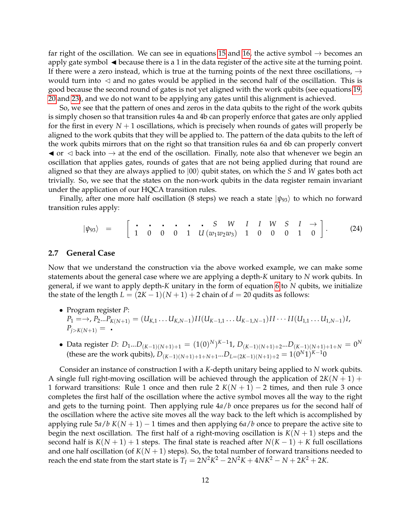far right of the oscillation. We can see in equations [15](#page-9-0) and [16,](#page-9-1) the active symbol  $\rightarrow$  becomes an apply gate symbol  $\blacktriangleleft$  because there is a 1 in the data register of the active site at the turning point. If there were a zero instead, which is true at the turning points of the next three oscillations,  $\rightarrow$ would turn into  $\triangleleft$  and no gates would be applied in the second half of the oscillation. This is good because the second round of gates is not yet aligned with the work qubits (see equations [19,](#page-10-1) [20](#page-10-2) and [23\)](#page-10-3), and we do not want to be applying any gates until this alignment is achieved.

So, we see that the pattern of ones and zeros in the data qubits to the right of the work qubits is simply chosen so that transition rules 4a and 4b can properly enforce that gates are only applied for the first in every  $N+1$  oscillations, which is precisely when rounds of gates will properly be aligned to the work qubits that they will be applied to. The pattern of the data qubits to the left of the work qubits mirrors that on the right so that transition rules 6a and 6b can properly convert  $\blacktriangleleft$  or  $\triangleleft$  back into  $\rightarrow$  at the end of the oscillation. Finally, note also that whenever we begin an oscillation that applies gates, rounds of gates that are not being applied during that round are aligned so that they are always applied to  $|00\rangle$  qubit states, on which the *S* and *W* gates both act trivially. So, we see that the states on the non-work qubits in the data register remain invariant under the application of our HQCA transition rules.

Finally, after one more half oscillation (8 steps) we reach a state  $|\psi_{93}\rangle$  to which no forward transition rules apply:

<span id="page-11-1"></span>
$$
|\psi_{93}\rangle = \begin{bmatrix} \cdot & \cdot & \cdot & \cdot & \cdot & S & W & I & I & W & S & I & \rightarrow \\ 1 & 0 & 0 & 0 & 1 & U(w_1w_2w_3) & 1 & 0 & 0 & 0 & 1 & 0 \end{bmatrix}.
$$
 (24)

#### <span id="page-11-0"></span>**2.7 General Case**

Now that we understand the construction via the above worked example, we can make some statements about the general case where we are applying a depth-*K* unitary to *N* work qubits. In general, if we want to apply depth-*K* unitary in the form of equation [6](#page-6-1) to *N* qubits, we initialize the state of the length  $L = (2K - 1)(N + 1) + 2$  chain of  $d = 20$  qudits as follows:

- Program register *P*:  $P_1 = \rightarrow P_2...P_{K(N+1)} = (U_{K,1}...U_{K,N-1})II(U_{K-1,1}...U_{K-1,N-1})II \cdots II(U_{1,1}...U_{1,N-1})I,$  $P_{i>K(N+1)} =$ .
- Data register *D*: *D*1...*D*(*K*−1)(*N*+1)+<sup>1</sup> = (1(0) *N*) *<sup>K</sup>*−11, *D*(*K*−1)(*N*+1)+<sup>2</sup> ...*D*(*K*−1)(*N*+1)+1+*<sup>N</sup>* = 0 *N* (these are the work qubits),  $D_{(K-1)(N+1)+1+N+1}...D_{L=(2K-1)(N+1)+2} = 1(0^N1)^{K-1}0$

Consider an instance of construction I with a *K*-depth unitary being applied to *N* work qubits. A single full right-moving oscillation will be achieved through the application of  $2K(N + 1)$  + 1 forward transitions: Rule 1 once and then rule 2  $K(N + 1) - 2$  times, and then rule 3 once completes the first half of the oscillation where the active symbol moves all the way to the right and gets to the turning point. Then applying rule 4*a*/*b* once prepares us for the second half of the oscillation where the active site moves all the way back to the left which is accomplished by applying rule 5*a*/*b K*(*N* + 1) − 1 times and then applying 6*a*/*b* once to prepare the active site to begin the next oscillation. The first half of a right-moving oscillation is  $K(N + 1)$  steps and the second half is  $K(N + 1) + 1$  steps. The final state is reached after  $N(K - 1) + K$  full oscillations and one half oscillation (of  $K(N + 1)$  steps). So, the total number of forward transitions needed to reach the end state from the start state is  $T_I = 2N^2K^2 - 2N^2K + 4NK^2 - N + 2K^2 + 2K$ .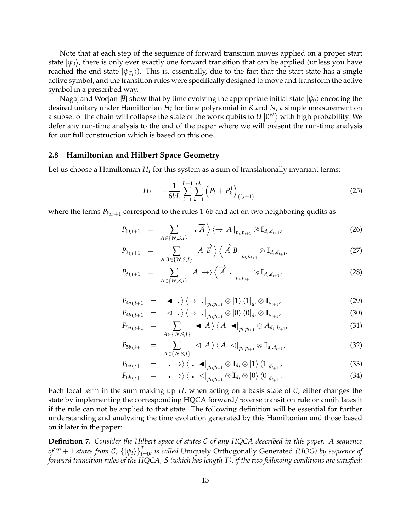Note that at each step of the sequence of forward transition moves applied on a proper start state  $|\psi_0\rangle$ , there is only ever exactly one forward transition that can be applied (unless you have reached the end state  $|\psi_{T_I}\rangle$ ). This is, essentially, due to the fact that the start state has a single active symbol, and the transition rules were specifically designed to move and transform the active symbol in a prescribed way.

Nagaj and Wocjan [\[9\]](#page-32-7) show that by time evolving the appropriate initial state  $|\psi_0\rangle$  encoding the desired unitary under Hamiltonian *H<sup>I</sup>* for time polynomial in *K* and *N*, a simple measurement on a subset of the chain will collapse the state of the work qubits to  $U|0^N\rangle$  with high probability. We defer any run-time analysis to the end of the paper where we will present the run-time analysis for our full construction which is based on this one.

#### <span id="page-12-0"></span>**2.8 Hamiltonian and Hilbert Space Geometry**

Let us choose a Hamiltonian  $H_I$  for this system as a sum of translationally invariant terms:

$$
H_{I} = -\frac{1}{6bL} \sum_{i=1}^{L-1} \sum_{k=1}^{6b} \left( P_{k} + P_{k}^{\dagger} \right)_{(i,i+1)}
$$
(25)

where the terms  $P_{ki,i+1}$  correspond to the rules 1-6b and act on two neighboring qudits as

$$
P_{1i,i+1} = \sum_{A \in \{W,S,I\}} \left| \cdot \overrightarrow{A} \right\rangle \left\langle \to A \right|_{p_i, p_{i+1}} \otimes \mathbb{I}_{d_i, d_{i+1}}, \tag{26}
$$

$$
P_{2i,i+1} = \sum_{A,B \in \{W,S,I\}} \left| A \overrightarrow{B} \right\rangle \left\langle \overrightarrow{A} B \right|_{p_i, p_{i+1}} \otimes \mathbb{I}_{d_i, d_{i+1}}, \tag{27}
$$

$$
P_{3i,i+1} = \sum_{A \in \{W,S,I\}} |A \rightarrow \rangle \left\langle \overrightarrow{A} \cdot \Big|_{p_i, p_{i+1}} \otimes \mathbb{I}_{d_i, d_{i+1}},\right.
$$
 (28)

$$
P_{4ai,i+1} = |\bullet \bullet \cdot \rangle \langle \rightarrow \bullet |_{p_i, p_{i+1}} \otimes |1 \rangle \langle 1 |_{d_i} \otimes \mathbb{I}_{d_{i+1}},
$$
\n
$$
P_{4ai,i+1} = |\bullet \bullet \rangle \langle \bullet | \bullet |_{p_i, p_{i+1}} \otimes |1 \rangle \langle 1 |_{d_i} \otimes \mathbb{I}_{d_{i+1}},
$$
\n
$$
(29)
$$

$$
P_{4b_{i,i+1}} = |\langle \mathbf{I} \cdot \rangle \langle \rightarrow \cdot |_{p_{i}, p_{i+1}} \otimes |0 \rangle \langle 0|_{d_{i}} \otimes \mathbb{I}_{d_{i+1}}, \tag{30}
$$

$$
P_{5ai,i+1} = \sum_{A \in \{W,S,I\}} |\blacktriangleleft A\rangle \langle A \blacktriangleleft |_{p_i,p_{i+1}} \otimes A_{d_i,d_{i+1}}, \tag{31}
$$

$$
P_{5bi,i+1} = \sum_{A \in \{W,S,I\}} |\langle A \rangle \langle A \langle A \rangle |_{p_i,p_{i+1}} \otimes \mathbb{I}_{d_i,d_{i+1}}, \tag{32}
$$

$$
P_{6ai,i+1} = |\cdot \rightarrow\rangle\langle \cdot \cdot \cdot |_{p_i,p_{i+1}} \otimes \mathbb{I}_{d_i} \otimes |1\rangle\langle 1|_{d_{i+1}}, \qquad (33)
$$

$$
P_{6bi,i+1} = |\cdot \rightarrow\rangle\langle \cdot \langle \alpha|_{p_i,p_{i+1}} \otimes \mathbb{I}_{d_i} \otimes |0\rangle \langle 0|_{d_{i+1}}.
$$
\n(34)

Each local term in the sum making up  $H$ , when acting on a basis state of  $C$ , either changes the state by implementing the corresponding HQCA forward/reverse transition rule or annihilates it if the rule can not be applied to that state. The following definition will be essential for further understanding and analyzing the time evolution generated by this Hamiltonian and those based on it later in the paper:

**Definition 7.** *Consider the Hilbert space of states* C *of any HQCA described in this paper. A sequence of T* + 1 *states from C*,  $\{\ket{\psi_t}\}_{t=0}^T$ , is called Uniquely Orthogonally Generated *(UOG) by sequence of forward transition rules of the HQCA,* S *(which has length T), if the two following conditions are satisfied:*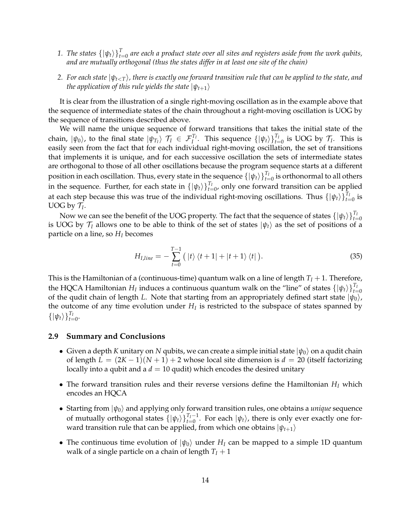- 1. *The states*  $\{\ket{\psi_t}\}_{t=0}^T$  are each a product state over all sites and registers aside from the work qubits, *and are mutually orthogonal (thus the states differ in at least one site of the chain)*
- 2. For each state  $|\psi_{t\leq T}\rangle$ , there is exactly one forward transition rule that can be applied to the state, and *the application of this rule yields the state*  $|\psi_{t+1}\rangle$

It is clear from the illustration of a single right-moving oscillation as in the example above that the sequence of intermediate states of the chain throughout a right-moving oscillation is UOG by the sequence of transitions described above.

We will name the unique sequence of forward transitions that takes the initial state of the chain,  $|\psi_0\rangle$ , to the final state  $|\psi_{T_I}\rangle$   $\mathcal{T}_I$   $\in$   $\mathcal{F}_I^{T_I}$ . This sequence  $\{|\psi_t\rangle\}_{t=0}^{T_I}$  is UOG by  $\mathcal{T}_I$ . This is easily seen from the fact that for each individual right-moving oscillation, the set of transitions that implements it is unique, and for each successive oscillation the sets of intermediate states are orthogonal to those of all other oscillations because the program sequence starts at a different position in each oscillation. Thus, every state in the sequence  $\{\ket{\psi_t}\}_{t=0}^{T_I}$  is orthonormal to all others in the sequence. Further, for each state in  $\{\ket{\psi_t}\}_{t=0}^{T_I}$ , only one forward transition can be applied at each step because this was true of the individual right-moving oscillations. Thus  $\{|\psi_t\rangle\}_{t=0}^{T_I}$  is UOG by  $\mathcal{T}_I$ .

Now we can see the benefit of the UOG property. The fact that the sequence of states  $\{|\psi_t\rangle\}_{t=0}^{T_I}$ is UOG by  $\mathcal{T}_I$  allows one to be able to think of the set of states  $|\psi_t\rangle$  as the set of positions of a particle on a line, so *H<sup>I</sup>* becomes

$$
H_{I,line} = -\sum_{t=0}^{T-1} (|t\rangle \langle t+1| + |t+1\rangle \langle t|).
$$
 (35)

This is the Hamiltonian of a (continuous-time) quantum walk on a line of length  $T_I + 1$ . Therefore, the HQCA Hamiltonian  $H_I$  induces a continuous quantum walk on the "line" of states  $\{|\psi_t\rangle\}_{t=0}^{T_I}$ of the qudit chain of length *L*. Note that starting from an appropriately defined start state  $|\psi_0\rangle$ , the outcome of any time evolution under *H<sup>I</sup>* is restricted to the subspace of states spanned by  $\{|\psi_t\rangle\}_{t=0}^{T_I}.$ 

## **2.9 Summary and Conclusions**

- Given a depth *K* unitary on *N* qubits, we can create a simple initial state  $|\psi_0\rangle$  on a qudit chain of length  $L = (2K - 1)(N + 1) + 2$  whose local site dimension is  $d = 20$  (itself factorizing locally into a qubit and a  $d = 10$  qudit) which encodes the desired unitary
- The forward transition rules and their reverse versions define the Hamiltonian *H<sup>I</sup>* which encodes an HQCA
- Starting from  $|\psi_0\rangle$  and applying only forward transition rules, one obtains a *unique* sequence of mutually orthogonal states  $\{|\psi_t\rangle\}_{t=0}^{T_I-1}$ . For each  $|\psi_t\rangle$ , there is only ever exactly one forward transition rule that can be applied, from which one obtains  $|\psi_{t+1}\rangle$
- The continuous time evolution of  $|\psi_0\rangle$  under  $H_I$  can be mapped to a simple 1D quantum walk of a single particle on a chain of length  $T_I + 1$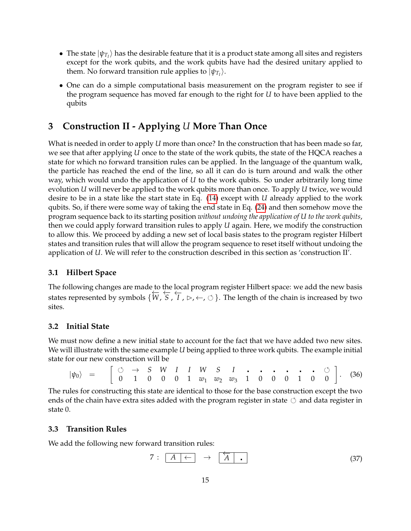- The state  $|\psi_{T_I}\rangle$  has the desirable feature that it is a product state among all sites and registers except for the work qubits, and the work qubits have had the desired unitary applied to them. No forward transition rule applies to  $|\psi_{T_I}\rangle$ .
- One can do a simple computational basis measurement on the program register to see if the program sequence has moved far enough to the right for *U* to have been applied to the qubits

# <span id="page-14-0"></span>**3 Construction II - Applying** *U* **More Than Once**

What is needed in order to apply *U* more than once? In the construction that has been made so far, we see that after applying *U* once to the state of the work qubits, the state of the HQCA reaches a state for which no forward transition rules can be applied. In the language of the quantum walk, the particle has reached the end of the line, so all it can do is turn around and walk the other way, which would undo the application of *U* to the work qubits. So under arbitrarily long time evolution *U* will never be applied to the work qubits more than once. To apply *U* twice, we would desire to be in a state like the start state in Eq. [\(14\)](#page-9-3) except with *U* already applied to the work qubits. So, if there were some way of taking the end state in Eq. [\(24\)](#page-11-1) and then somehow move the program sequence back to its starting position *without undoing the application of U to the work qubits*, then we could apply forward transition rules to apply *U* again. Here, we modify the construction to allow this. We proceed by adding a new set of local basis states to the program register Hilbert states and transition rules that will allow the program sequence to reset itself without undoing the application of *U*. We will refer to the construction described in this section as 'construction II'.

# **3.1 Hilbert Space**

The following changes are made to the local program register Hilbert space: we add the new basis states represented by symbols  $\{W, S, T, \triangleright, \leftarrow, \circlearrowleft\}$ . The length of the chain is increased by two sites.

# **3.2 Initial State**

We must now define a new initial state to account for the fact that we have added two new sites. We will illustrate with the same example *U* being applied to three work qubits. The example initial state for our new construction will be

$$
|\psi_0\rangle = \begin{bmatrix} \circlearrowleft & \to & S & W & I & I & W & S & I & \cdot & \cdot & \cdot & \cdot & \cdot & \cdot & \cdot & \cdot & \circ \\ 0 & 1 & 0 & 0 & 0 & 1 & w_1 & w_2 & w_3 & 1 & 0 & 0 & 0 & 1 & 0 & 0 \end{bmatrix} . \quad (36)
$$

The rules for constructing this state are identical to those for the base construction except the two ends of the chain have extra sites added with the program register in state  $\circlearrowleft$  and data register in state 0.

# **3.3 Transition Rules**

We add the following new forward transition rules:

$$
7: \begin{array}{|c|c|c|c|c|}\n\hline\nA & \leftarrow & \rightarrow & \begin{array}{|c|c|c|}\n\hline\nA & \bullet & \bullet & \bullet \\
\hline\n\end{array}\n\hline\n\end{array}
$$
\n(37)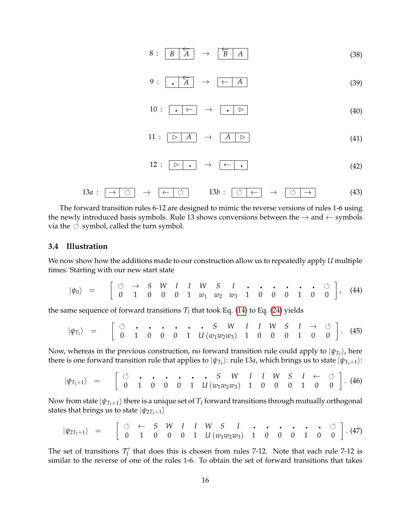$$
8:\begin{array}{|c|c|c|c|c|}\hline B & A \\ \hline \end{array} \rightarrow \begin{array}{|c|c|c|c|}\hline \overleftarrow{B} & A \\ \hline \end{array} \tag{38}
$$

$$
9: \begin{array}{|c|c|c|c|c|}\hline \cdot & A & \rightarrow & \leftarrow & A \\\hline \end{array} \tag{39}
$$

$$
10: \begin{array}{|c|c|c|c|c|}\n \hline\n & \leftrightarrow & \bullet & \triangleright \\
 \hline\n & \bullet & \triangleright & \end{array}
$$
 (40)

$$
11: \begin{array}{|c|c|c|c|c|}\n\hline\n> & A & \triangleright \\
\hline\n\end{array}
$$
 (41)

$$
12: \boxed{\triangleright} \rightarrow \boxed{\leftarrow} \tag{42}
$$

13*a* : → → ← 13*b* : ← → → (43)

The forward transition rules 6-12 are designed to mimic the reverse versions of rules 1-6 using the newly introduced basis symbols. Rule 13 shows conversions between the  $\rightarrow$  and  $\leftarrow$  symbols via the  $\circlearrowleft$  symbol, called the turn symbol.

#### **3.4 Illustration**

We now show how the additions made to our construction allow us to repeatedly apply *U* multiple times. Starting with our new start state

$$
|\psi_0\rangle = \begin{bmatrix} \circlearrowleft & \to & S & W & I & I & W & S & I & \cdot & \cdot & \cdot & \cdot & \cdot & \cdot & \cdot & \circ \\ 0 & 1 & 0 & 0 & 0 & 1 & w_1 & w_2 & w_3 & 1 & 0 & 0 & 0 & 1 & 0 & 0 \end{bmatrix}, \quad (44)
$$

the same sequence of forward transitions  $\mathcal{T}_I$  that took Eq. [\(14\)](#page-9-3) to Eq. [\(24\)](#page-11-1) yields

$$
|\psi_{T_I}\rangle = \begin{bmatrix} \circlearrowleft & \cdot & \cdot & \cdot & \cdot & \cdot & S & W & I & I & W & S & I & \rightarrow & \circlearrowleft \\ 0 & 1 & 0 & 0 & 0 & 1 & U(w_1w_2w_3) & 1 & 0 & 0 & 0 & 1 & 0 & 0 \end{bmatrix}.
$$
 (45)

Now, whereas in the previous construction, no forward transition rule could apply to  $|\psi_{T_I}\rangle$ , here there is one forward transition rule that applies to  $|\psi_{T_I}\rangle$ : rule 13*a,* which brings us to state  $|\psi_{T_I+1}\rangle$ :

$$
|\psi_{T_I+1}\rangle = \begin{bmatrix} \circlearrowleft & \cdot & \cdot & \cdot & \cdot & \cdot & \cdot & S & W & I & I & W & S & I & \leftarrow & \circlearrowleft \\ 0 & 1 & 0 & 0 & 0 & 1 & U(w_1w_2w_3) & 1 & 0 & 0 & 0 & 1 & 0 & 0 \end{bmatrix} . \tag{46}
$$

Now from state  $|\psi_{T_I+1}\rangle$  there is a unique set of  $T_I$  forward transitions through mutually orthogonal states that brings us to state  $|\psi_{2T_I+1}\rangle$ 

$$
|\psi_{2T_I+1}\rangle = \begin{bmatrix} \circlearrowleft & \leftarrow & S & W & I & I & W & S & I & \cdot & \cdot & \cdot & \cdot & \cdot & \cdot & \cdot & \circ \\ 0 & 1 & 0 & 0 & 0 & 1 & U(w_1w_2w_3) & 1 & 0 & 0 & 0 & 1 & 0 & 0 \end{bmatrix} . (47)
$$

The set of transitions  $\mathcal{T}'_I$  that does this is chosen from rules 7-12. Note that each rule 7-12 is similar to the reverse of one of the rules 1-6. To obtain the set of forward transitions that takes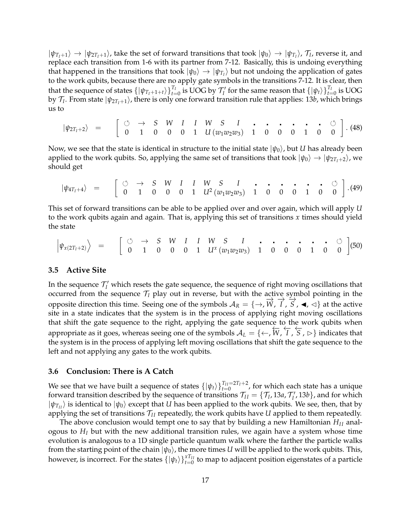$|\psi_{T_I+1}\rangle \to |\psi_{2T_I+1}\rangle$ , take the set of forward transitions that took  $|\psi_0\rangle \to |\psi_{T_I}\rangle$ ,  $\mathcal{T}_I$ , reverse it, and replace each transition from 1-6 with its partner from 7-12. Basically, this is undoing everything that happened in the transitions that took  $|\psi_0\rangle \to |\psi_{T_I}\rangle$  but not undoing the application of gates to the work qubits, because there are no apply gate symbols in the transitions 7-12. It is clear, then that the sequence of states  $\{|\psi_{T_I+1+t}\rangle\}_{t=0}^{T_I}$  is UOG by  $\mathcal{T}'_I$  for the same reason that  $\{|\psi_t\rangle\}_{t=0}^{T_I}$  is UOG by  $\mathcal{T}_I.$  From state  $|\psi_{2T_I+1}\rangle$ , there is only one forward transition rule that applies: 13*b*, which brings us to

$$
|\psi_{2T_1+2}\rangle = \begin{bmatrix} \circlearrowleft & \to & S & W & I & I & W & S & I & \cdot & \cdot & \cdot & \cdot & \cdot & \cdot & \cdot & \circ \\ 0 & 1 & 0 & 0 & 0 & 1 & U(w_1w_2w_3) & 1 & 0 & 0 & 0 & 1 & 0 & 0 \end{bmatrix} . \tag{48}
$$

Now, we see that the state is identical in structure to the initial state  $|\psi_0\rangle$ , but *U* has already been applied to the work qubits. So, applying the same set of transitions that took  $|\psi_0\rangle \rightarrow |\psi_{2T_I+2}\rangle$ , we should get

$$
|\psi_{4T_1+4}\rangle = \begin{bmatrix} \circlearrowleft & \to & S & W & I & I & W & S & I & \cdot & \cdot & \cdot & \cdot & \cdot & \cdot & \circ \\ 0 & 1 & 0 & 0 & 0 & 1 & U^2(w_1w_2w_3) & 1 & 0 & 0 & 0 & 1 & 0 & 0 \end{bmatrix} . (49)
$$

This set of forward transitions can be able to be applied over and over again, which will apply *U* to the work qubits again and again. That is, applying this set of transitions *x* times should yield the state

 *<sup>ψ</sup>x*(2*TI*+2) E = → *S W I I W S I* 0 1 0 0 0 1 *U<sup>x</sup>* (*w*1*w*2*w*3) 1 0 0 0 1 0 0 (50) .

### **3.5 Active Site**

In the sequence  $\mathcal{T}'_I$  which resets the gate sequence, the sequence of right moving oscillations that occurred from the sequence  $\mathcal{T}_I$  play out in reverse, but with the active symbol pointing in the opposite direction this time. Seeing one of the symbols  $A_R = \{\rightarrow, W, T, S, \blacktriangleleft, \triangleleft\}$  at the active site in a state indicates that the system is in the process of applying right moving oscillations that shift the gate sequence to the right, applying the gate sequence to the work qubits when appropriate as it goes, whereas seeing one of the symbols  $A_L = \{ \leftarrow, W, T, S, \triangleright \}$  indicates that the system is in the process of applying left moving oscillations that shift the gate sequence to the left and not applying any gates to the work qubits.

#### **3.6 Conclusion: There is A Catch**

We see that we have built a sequence of states  $\{\ket{\psi_t}\}_{t=0}^{T_{II}=2T_I+2}$ , for which each state has a unique forward transition described by the sequence of transitions  $\mathcal{T}_{II} = \{\mathcal{T}_I, 13a, \mathcal{T}'_I, 13b\}$ , and for which  $|\psi_{T_{II}}\rangle$  is identical to  $|\psi_0\rangle$  except that *U* has been applied to the work qubits. We see, then, that by applying the set of transitions  $\mathcal{T}_{II}$  repeatedly, the work qubits have *U* applied to them repeatedly.

The above conclusion would tempt one to say that by building a new Hamiltonian *HI I* analogous to *H<sup>I</sup>* but with the new additional transition rules, we again have a system whose time evolution is analogous to a 1D single particle quantum walk where the farther the particle walks from the starting point of the chain  $|\psi_0\rangle$ , the more times *U* will be applied to the work qubits. This, however, is incorrect. For the states  $\{\ket{\psi_t}\}_{t=0}^{xT_{II}}$  to map to adjacent position eigenstates of a particle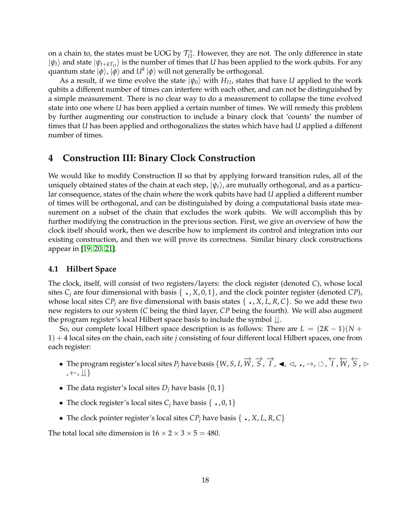on a chain to, the states must be UOG by  $\mathcal{T}_{II}^x$ . However, they are not. The only difference in state  $|\psi_t\rangle$  and state  $|\psi_{t+kT_{II}}\rangle$  is the number of times that *U* has been applied to the work qubits. For any  $\mathsf{quantum}\ \mathsf{state}\ \ket{\phi}, \ket{\phi} \ \mathsf{and}\ U^k\ \ket{\phi} \ \mathsf{will}\ \mathsf{not}\ \mathsf{generally}\ \mathsf{be}\ \mathsf{orthogonal}.$ 

As a result, if we time evolve the state  $|\psi_0\rangle$  with  $H_{II}$ , states that have *U* applied to the work qubits a different number of times can interfere with each other, and can not be distinguished by a simple measurement. There is no clear way to do a measurement to collapse the time evolved state into one where *U* has been applied a certain number of times. We will remedy this problem by further augmenting our construction to include a binary clock that 'counts' the number of times that *U* has been applied and orthogonalizes the states which have had *U* applied a different number of times.

# <span id="page-17-0"></span>**4 Construction III: Binary Clock Construction**

We would like to modify Construction II so that by applying forward transition rules, all of the uniquely obtained states of the chain at each step,  $|\psi_t\rangle$ , are mutually orthogonal, and as a particular consequence, states of the chain where the work qubits have had *U* applied a different number of times will be orthogonal, and can be distinguished by doing a computational basis state measurement on a subset of the chain that excludes the work qubits. We will accomplish this by further modifying the construction in the previous section. First, we give an overview of how the clock itself should work, then we describe how to implement its control and integration into our existing construction, and then we will prove its correctness. Similar binary clock constructions appear in [\[19,](#page-32-17) [20,](#page-33-0) [21\]](#page-33-1).

#### **4.1 Hilbert Space**

The clock, itself, will consist of two registers/layers: the clock register (denoted *C*), whose local sites  $C_i$  are four dimensional with basis  $\{ \cdot, X, 0, 1 \}$ , and the clock pointer register (denoted *CP*), whose local sites  $CP_j$  are five dimensional with basis states  $\{ \cdot, X, L, R, C \}$ . So we add these two new registers to our system (*C* being the third layer, *CP* being the fourth). We will also augment the program register's local Hilbert space basis to include the symbol  $\downarrow\downarrow$ .

So, our complete local Hilbert space description is as follows: There are  $L = (2K - 1)(N + 1)$ 1) + 4 local sites on the chain, each site *j* consisting of four different local Hilbert spaces, one from each register:

- The program register's local sites  $P_j$  have basis  $\{W, S, I, \overrightarrow{W}, \overrightarrow{S}, \overrightarrow{I}, \blacktriangleleft, \triangleleft, \ldots, \to, \circlearrowleft, \overleftarrow{I}, \overleftarrow{W}, \overleftarrow{S}, \vartriangleright$  $, \leftarrow, \left\downarrow\right\}$
- The data register's local sites  $D_j$  have basis  $\{0, 1\}$
- The clock register's local sites  $C_i$  have basis  $\{ \cdot, 0, 1 \}$
- The clock pointer register's local sites  $CP<sub>j</sub>$  have basis  $\{ \cdot, X, L, R, C \}$

The total local site dimension is  $16 \times 2 \times 3 \times 5 = 480$ .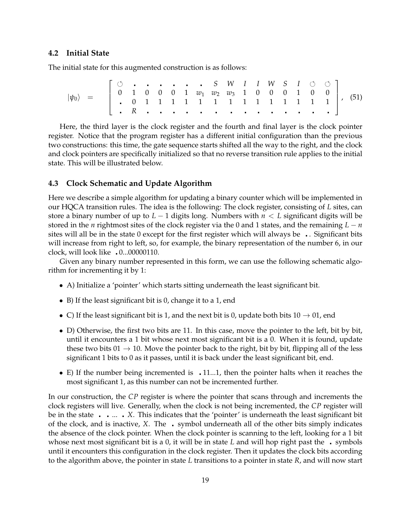#### **4.2 Initial State**

The initial state for this augmented construction is as follows:

| $ \psi_0\rangle$ |  |               |  |  |  |  |  |  |  |  |  |  |
|------------------|--|---------------|--|--|--|--|--|--|--|--|--|--|
|                  |  |               |  |  |  |  |  |  |  |  |  |  |
|                  |  | <u>   . R</u> |  |  |  |  |  |  |  |  |  |  |

Here, the third layer is the clock register and the fourth and final layer is the clock pointer register. Notice that the program register has a different initial configuration than the previous two constructions: this time, the gate sequence starts shifted all the way to the right, and the clock and clock pointers are specifically initialized so that no reverse transition rule applies to the initial state. This will be illustrated below.

#### **4.3 Clock Schematic and Update Algorithm**

Here we describe a simple algorithm for updating a binary counter which will be implemented in our HQCA transition rules. The idea is the following: The clock register, consisting of *L* sites, can store a binary number of up to *L* − 1 digits long. Numbers with *n* < *L* significant digits will be stored in the *n* rightmost sites of the clock register via the 0 and 1 states, and the remaining  $L - n$ sites will all be in the state 0 except for the first register which will always be  $\cdot$ . Significant bits will increase from right to left, so, for example, the binary representation of the number 6, in our clock, will look like 0...00000110.

Given any binary number represented in this form, we can use the following schematic algorithm for incrementing it by 1:

- A) Initialize a 'pointer' which starts sitting underneath the least significant bit.
- B) If the least significant bit is 0, change it to a 1, end
- C) If the least significant bit is 1, and the next bit is 0, update both bits  $10 \rightarrow 01$ , end
- D) Otherwise, the first two bits are 11. In this case, move the pointer to the left, bit by bit, until it encounters a 1 bit whose next most significant bit is a 0. When it is found, update these two bits  $01 \rightarrow 10$ . Move the pointer back to the right, bit by bit, flipping all of the less significant 1 bits to 0 as it passes, until it is back under the least significant bit, end.
- E) If the number being incremented is 11...1, then the pointer halts when it reaches the most significant 1, as this number can not be incremented further.

In our construction, the *CP* register is where the pointer that scans through and increments the clock registers will live. Generally, when the clock is not being incremented, the *CP* register will be in the state ... *X*. This indicates that the 'pointer' is underneath the least significant bit of the clock, and is inactive, *X*. The symbol underneath all of the other bits simply indicates the absence of the clock pointer. When the clock pointer is scanning to the left, looking for a 1 bit whose next most significant bit is a 0, it will be in state *L* and will hop right past the symbols until it encounters this configuration in the clock register. Then it updates the clock bits according to the algorithm above, the pointer in state *L* transitions to a pointer in state *R*, and will now start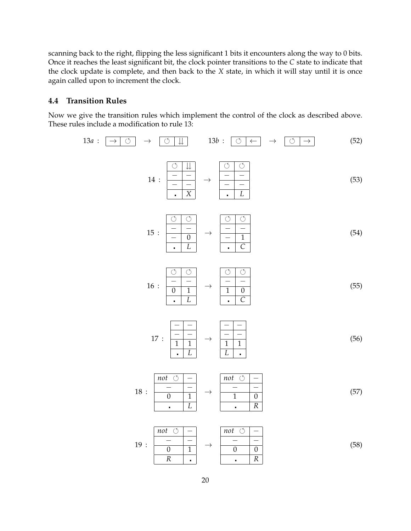scanning back to the right, flipping the less significant 1 bits it encounters along the way to 0 bits. Once it reaches the least significant bit, the clock pointer transitions to the *C* state to indicate that the clock update is complete, and then back to the *X* state, in which it will stay until it is once again called upon to increment the clock.

## **4.4 Transition Rules**

Now we give the transition rules which implement the control of the clock as described above. These rules include a modification to rule 13:

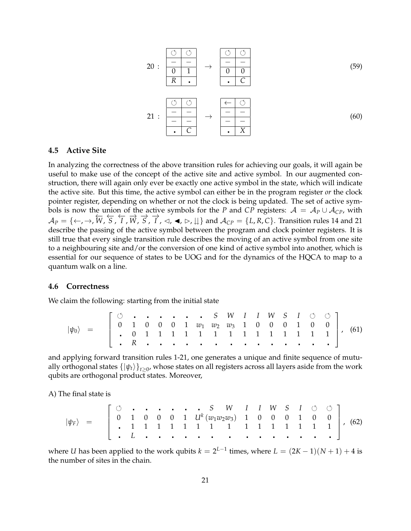$$
20: \frac{\begin{array}{|c|c|c|c|c|}\n\hline\n\circ & \circ \\
\hline\n- & - & - & - \\
\hline\n0 & 1 & \rightarrow & 0 & 0 \\
\hline\nR & . & . & C\n\end{array}
$$
\n
$$
21: \frac{\begin{array}{|c|c|c|}\n\hline\n\circ & \circ \\
\hline\n-\circ & - & - \\
\hline\n- & - & - & - \\
\hline\n- & - & - & - \\
\hline\n- & - & - & - \\
\hline\n- & - & - & - \\
\hline\n- & - & - & - \\
\hline\n- & - & - & - \\
\hline\n- & - & - & - \\
\hline\n- & - & - & - \\
\hline\n- & - & - & - \\
\hline\n- & - & - & - \\
\hline\n- & - & - & - \\
\hline\n- & - & - & - \\
\hline\n- & - & - & - \\
\hline\n- & - & - & - \\
\hline\n- & - & - & - \\
\hline\n- & - & - & - \\
\hline\n- & - & - & - \\
\hline\n- & - & - & - \\
\hline\n- & - & - & - \\
\hline\n- & - & - & - \\
\hline\n- & - & - & - \\
\hline\n- & - & - & - \\
\hline\n- & - & - & - \\
\hline\n- & - & - & - \\
\hline\n- & - & - & - \\
\hline\n- & - & - & - \\
\hline\n- & - & - & - \\
\hline\n- & - & - & - \\
\hline\n- & - & - & - \\
\hline\n- & - & - & - \\
\hline\n- & - & - & - \\
\hline\n- & - & - & - \\
\hline\n- & - & - & - \\
\hline\n- & - & - & - \\
\hline\n- & - & - & - \\
\hline\n- & - & - & - \\
\hline\n- & - & - & - \\
\hline\n- & - & - & - \\
\hline\n- & - & - & - \\
\hline\n- & - & - & - \\
\hline\n- & - & - & - \\
\hline\n- & - & - & - \\
\hline\n- & - & - & - \\
\hline\n- & - & - & - \\
\hline\n- & - & - & - \\
\hline\n- & - & - & - \\
\hline\n- & - & - & - \\
\hline\n- & - & - & - \\
\hline\n- & - & - & - \\
\hline\n- & - & - & - \\
\hline\n- & - & - & - \\
\hline\n- & - & - & - \\
\hline\n- &
$$

#### **4.5 Active Site**

In analyzing the correctness of the above transition rules for achieving our goals, it will again be useful to make use of the concept of the active site and active symbol. In our augmented construction, there will again only ever be exactly one active symbol in the state, which will indicate the active site. But this time, the active symbol can either be in the program register *or* the clock pointer register, depending on whether or not the clock is being updated. The set of active symbols is now the union of the active symbols for the *P* and *CP* registers:  $A = A_P \cup A_{CP}$ , with  $A_P = \{\leftarrow, \rightarrow, W, S, T, W, S, T, \triangleleft, \blacktriangleleft, \blacktriangleleft, \blacktriangleright, \emptyset \}$  and  $A_{CP} = \{L, R, C\}$ . Transition rules 14 and 21 describe the passing of the active symbol between the program and clock pointer registers. It is still true that every single transition rule describes the moving of an active symbol from one site to a neighbouring site and/or the conversion of one kind of active symbol into another, which is essential for our sequence of states to be UOG and for the dynamics of the HQCA to map to a quantum walk on a line.

#### **4.6 Correctness**

We claim the following: starting from the initial state

$$
|\psi_0\rangle = \begin{bmatrix} \circ & \cdot & \cdot & \cdot & \cdot & \cdot & \cdot & S & W & I & I & W & S & I & \circ & \circ \\ 0 & 1 & 0 & 0 & 0 & 1 & w_1 & w_2 & w_3 & 1 & 0 & 0 & 0 & 1 & 0 & 0 \\ . & 0 & 1 & 1 & 1 & 1 & 1 & 1 & 1 & 1 & 1 & 1 & 1 & 1 & 1 \\ . & R & . & . & . & . & . & . & . & . & . & . & . & . & . \end{bmatrix}, (61)
$$

and applying forward transition rules 1-21, one generates a unique and finite sequence of mutually orthogonal states  $\{\ket{\psi_t}\}_{t\geq 0}$ , whose states on all registers across all layers aside from the work qubits are orthogonal product states. Moreover,

A) The final state is

|*ψF*i = *S W I I W S I* 0 1 0 0 0 1 *U<sup>k</sup>* (*w*1*w*2*w*3) 1 0 0 0 1 0 0 1 1 1 1 1 1 1 1 1 1 1 1 1 1 1 *L* , (62)

where *U* has been applied to the work qubits  $k = 2^{L-1}$  times, where  $L = (2K-1)(N+1) + 4$  is the number of sites in the chain.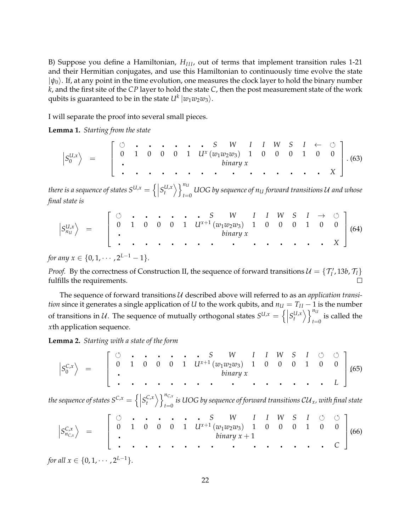B) Suppose you define a Hamiltonian,  $H<sub>III</sub>$ , out of terms that implement transition rules 1-21 and their Hermitian conjugates, and use this Hamiltonian to continuously time evolve the state  $|\psi_0\rangle$ . If, at any point in the time evolution, one measures the clock layer to hold the binary number *k*, and the first site of the *CP* layer to hold the state *C*, then the post measurement state of the work qubits is guaranteed to be in the state  $U^k \ket{w_1w_2w_3}.$ 

I will separate the proof into several small pieces.

**Lemma 1.** *Starting from the state*

$$
\left|S_0^{U,x}\right\rangle = \left[\begin{array}{ccccccccccccc} \circ & \cdot & \cdot & \cdot & \cdot & \cdot & \cdot & S & W & I & I & W & S & I & \leftarrow & \circ \\ 0 & 1 & 0 & 0 & 0 & 1 & U^x(w_1w_2w_3) & 1 & 0 & 0 & 0 & 1 & 0 & 0 \\ . & . & . & . & . & . & . & . & . & . & . & . & . & . & . & . & . \end{array}\right]. (63)
$$

*there is a sequence of states SU*,*<sup>x</sup>* = n   *S U*,*x t* Eo*n<sup>U</sup>*  $\int_{t=0}^{\infty}$  UOG by sequence of  $n_{\mathrm{U}}$  *forward transitions U and whose final state is*

$$
\left|S_{n_{U}}^{U,x}\right\rangle = \left[\begin{array}{ccccccccccccc} \circ & \cdot & \cdot & \cdot & \cdot & \cdot & S & W & I & I & W & S & I & \rightarrow & \circ \\ 0 & 1 & 0 & 0 & 0 & 1 & U^{x+1}(w_1w_2w_3) & 1 & 0 & 0 & 0 & 1 & 0 & 0 \\ . & . & . & . & . & . & . & . & . & . & . & . & . & . & . & X\end{array}\right](64)
$$

*for any*  $x \in \{0, 1, \dots, 2^{L-1} - 1\}.$ 

*Proof.* By the correctness of Construction II, the sequence of forward transitions  $\mathcal{U} = \{\mathcal{T}_I', 13b, \mathcal{T}_I\}$ fulfills the requirements.  $\Box$ 

The sequence of forward transitions U described above will referred to as an *application transition* since it generates a single application of *U* to the work qubits, and  $n_U = T_{II} - 1$  is the number of transitions in U. The sequence of mutually orthogonal states  $S^{U,x} = \left\{ \left| S_t^{U,x} \right\rangle \right\}_{t=1}^{n_U}$  $t=0$  is called the *x*th application sequence.

**Lemma 2.** *Starting with a state of the form*

 *S C*,*x* 0 E = *S W I I W S I* 0 1 0 0 0 1 *Ux*+<sup>1</sup> (*w*1*w*2*w*3) 1 0 0 0 1 0 0 *binary x L* ,(65)

the sequence of states  $S^{C,x} = \left\{ \left| S_t^{C,x} \right\rangle \right\}_{t=0}^{n_{C,x}}$  $\int_{t=0}^{\infty}$  *is UOG by sequence of forward transitions*  $\mathcal{C}\mathcal{U}_x$ *, with final state* 

 *S C*,*x nC*,*<sup>x</sup>* E = *S W I I W S I* 0 1 0 0 0 1 *Ux*+<sup>1</sup> (*w*1*w*2*w*3) 1 0 0 0 1 0 0 *binary x* + 1 *C* (66) .

*for all*  $x \in \{0, 1, \dots, 2^{L-1}\}.$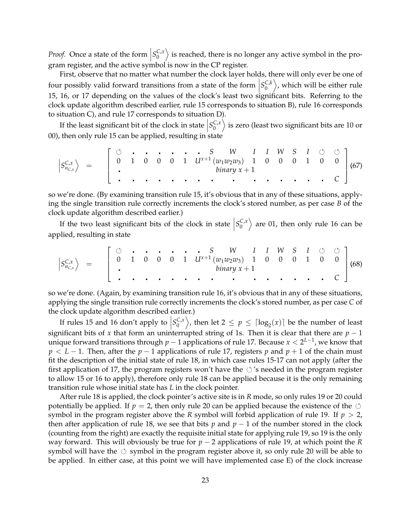*Proof.* Once a state of the form  $\left|S_0^{C,x}\right|$  $\binom{C_x}{0}$  is reached, there is no longer any active symbol in the program register, and the active symbol is now in the CP register.

First, observe that no matter what number the clock layer holds, there will only ever be one of four possibly valid forward transitions from a state of the form  $S_0^{C,k}$  $\left\langle\begin{smallmatrix} C,k\0 \end{smallmatrix}\right\rangle$ , which will be either rule 15, 16, or 17 depending on the values of the clock's least two significant bits. Referring to the clock update algorithm described earlier, rule 15 corresponds to situation B), rule 16 corresponds to situation C), and rule 17 corresponds to situation D).

If the least significant bit of the clock in state  $S_0^{C,x}$  $\left\langle\begin{smallmatrix} C , x\ 0 \end{smallmatrix}\right\rangle$  is zero (least two significant bits are 10 or 00), then only rule 15 can be applied, resulting in state

$$
\left|S_{n_{C,x}}^{C,x}\right\rangle = \left[\begin{array}{ccccccccccccc} \circ & \cdot & \cdot & \cdot & \cdot & \cdot & S & W & I & I & W & S & I & \circ & \circ \\ 0 & 1 & 0 & 0 & 0 & 1 & U^{x+1}(w_1w_2w_3) & 1 & 0 & 0 & 0 & 1 & 0 & 0 \\ . & . & . & . & . & . & . & . & . & . & . & . & . & . \end{array}\right](67)
$$

so we're done. (By examining transition rule 15, it's obvious that in any of these situations, applying the single transition rule correctly increments the clock's stored number, as per case *B* of the clock update algorithm described earlier.)

If the two least significant bits of the clock in state  $S_0^{C,x}$  $\begin{pmatrix} C, x \ 0 \end{pmatrix}$  are 01, then only rule 16 can be applied, resulting in state

$$
\left|S_{n_{C,x}}^{C,x}\right\rangle = \left[\begin{array}{ccccccccccccc} \circ & \cdot & \cdot & \cdot & \cdot & \cdot & S & W & I & I & W & S & I & \circ & \circ \\ 0 & 1 & 0 & 0 & 0 & 1 & U^{x+1}(w_1w_2w_3) & 1 & 0 & 0 & 0 & 1 & 0 & 0 \\ . & . & . & . & . & . & . & . & . & . & . & . & . & . \end{array}\right](68)
$$

so we're done. (Again, by examining transition rule 16, it's obvious that in any of these situations, applying the single transition rule correctly increments the clock's stored number, as per case *C* of the clock update algorithm described earlier.)

If rules 15 and 16 don't apply to  $\left|S_0^{C,x}\right|$ significant bits of *x* that form an uninterrupted string of 1s. Then it is clear that there are  $p - 1$  $\binom{C_x}{0}$ , then let  $2 \le p \le \lceil \log_2(x) \rceil$  be the number of least unique forward transitions through *p* − 1 applications of rule 17. Because *x* < 2 *L*−1 , we know that *p* < *L* − 1. Then, after the *p* − 1 applications of rule 17, registers *p* and *p* + 1 of the chain must fit the description of the initial state of rule 18, in which case rules 15-17 can not apply (after the first application of 17, the program registers won't have the  $\circ$ 's needed in the program register to allow 15 or 16 to apply), therefore only rule 18 can be applied because it is the only remaining transition rule whose initial state has *L* in the clock pointer.

After rule 18 is applied, the clock pointer's active site is in *R* mode, so only rules 19 or 20 could potentially be applied. If  $p = 2$ , then only rule 20 can be applied because the existence of the  $\circlearrowleft$ symbol in the program register above the *R* symbol will forbid application of rule 19. If *p* > 2, then after application of rule 18, we see that bits *p* and  $p - 1$  of the number stored in the clock (counting from the right) are exactly the requisite initial state for applying rule 19, so 19 is the only way forward. This will obviously be true for *p* − 2 applications of rule 19, at which point the *R* symbol will have the  $\circlearrowleft$  symbol in the program register above it, so only rule 20 will be able to be applied. In either case, at this point we will have implemented case E) of the clock increase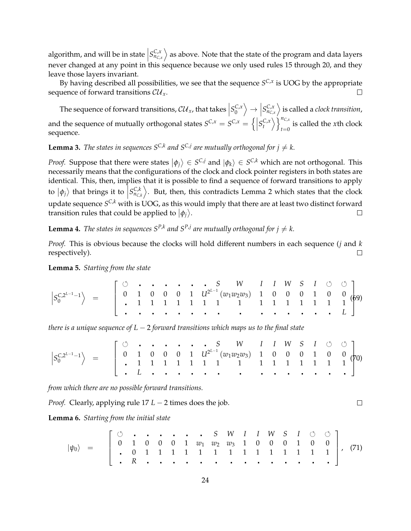algorithm, and will be in state  $\left|S_{n_{C,x}}^{C,x}\right\rangle$  as above. Note that the state of the program and data layers never changed at any point in this sequence because we only used rules 15 through 20, and they leave those layers invariant.

By having described all possibilities, we see that the sequence  $S^{C,x}$  is UOG by the appropriate sequence of forward transitions  $\mathcal{CU}_x$ .

The sequence of forward transitions,  $\mathcal{CU}_x$ , that takes  $\left|S_0^{C,x}\right|$  $\begin{aligned} \begin{cases} C, x \\ C \end{cases} \rightarrow \begin{bmatrix} S_{n_{C,x}}^{C,x} \\ n_{C,x} \end{bmatrix}$  is called a *clock transition*, and the sequence of mutually orthogonal states  $S^{C,x} = S^{C,x} = \left\{ \left| S_t^{C,x} \right\rangle \right\}_{t=0}^{n_{C,x}}$ is called the *x*th clock sequence.

**Lemma 3.** *The states in sequences*  $S^{C,k}$  *and*  $S^{C,j}$  *are mutually orthogonal for*  $j \neq k$ *.* 

*Proof.* Suppose that there were states  $|\phi_j\rangle \in S^{C,j}$  and  $|\phi_k\rangle \in S^{C,k}$  which are not orthogonal. This necessarily means that the configurations of the clock and clock pointer registers in both states are identical. This, then, implies that it is possible to find a sequence of forward transitions to apply to  $\ket{\phi_j}$  that brings it to  $\left\ket{S^{C,k}_{n_{C,k}}} \right$ . But, then, this contradicts Lemma 2 which states that the clock  $\overline{\phantom{a}}$ update sequence  $S^{\mathsf{C},k}$  with is UOG, as this would imply that there are at least two distinct forward transition rules that could be applied to  $|\phi_j\rangle$ .  $\Box$ 

**Lemma 4.** The states in sequences  $S^{P,k}$  and  $S^{P,j}$  are mutually orthogonal for  $j \neq k$ .

*Proof.* This is obvious because the clocks will hold different numbers in each sequence (*j* and *k* respectively).  $\Box$ 

**Lemma 5.** *Starting from the state*

 *S C*,2*L*−1−1 0 E = *S W I I W S I* 0 1 0 0 0 1 *U*<sup>2</sup> *L*−1 (*w*1*w*2*w*3) 1 0 0 0 1 0 0 1 1 1 1 1 1 1 1 1 1 1 1 1 1 1 *L* (69).

*there is a unique sequence of L* − 2 *forward transitions which maps us to the final state*

| $\left S_{0}^{C,2^{L-1}-1}\right\rangle \;\;=\;\; \left \begin{array}{ccccccccccccc} \circlearrowleft & \cdot & \cdot & \cdot & \cdot & \cdot & \cdot & S & W & I & I & W & S & I & \circlearrowleft & \circlearrowleft \\ 0 & 1 & 0 & 0 & 0 & 1 & U^{2^{L-1}}(w_{1}w_{2}w_{3}) & 1 & 0 & 0 & 0 & 1 & 0 & 0 \\ \cdot & 1 & 1 & 1 & 1 & 1 & 1 & 1 & 1 & 1 & 1 & 1 & 1 & 1 \end{array}\right \right ^{2}$ |  |  |  |  |  |  |  |  |  |
|---------------------------------------------------------------------------------------------------------------------------------------------------------------------------------------------------------------------------------------------------------------------------------------------------------------------------------------------------------------------------------------------------------|--|--|--|--|--|--|--|--|--|
|                                                                                                                                                                                                                                                                                                                                                                                                         |  |  |  |  |  |  |  |  |  |
|                                                                                                                                                                                                                                                                                                                                                                                                         |  |  |  |  |  |  |  |  |  |

*from which there are no possible forward transitions.*

*Proof.* Clearly, applying rule 17 *L* − 2 times does the job.

**Lemma 6.** *Starting from the initial state*

|*ψ*0i = *S W I I W S I* 0 1 0 0 0 1 *w*<sup>1</sup> *w*<sup>2</sup> *w*<sup>3</sup> 1 0 0 0 1 0 0 0 1 1 1 1 1 1 1 1 1 1 1 1 1 1 *R* , (71)

 $\Box$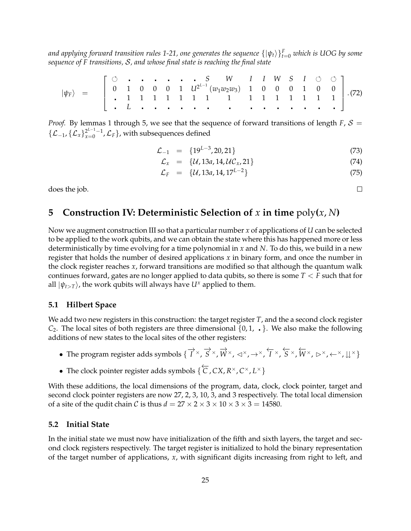*and applying forward transition rules 1-21, one generates the sequence* {|*ψt*i} *F <sup>t</sup>*=<sup>0</sup> *which is UOG by some sequence of F transitions,* S*, and whose final state is reaching the final state*

|*ψF*i = *S W I I W S I* 0 1 0 0 0 1 *U*<sup>2</sup> *L*−1 (*w*1*w*2*w*3) 1 0 0 0 1 0 0 1 1 1 1 1 1 1 1 1 1 1 1 1 1 1 *L* .(72)

*Proof.* By lemmas 1 through 5, we see that the sequence of forward transitions of length  $F$ ,  $S =$  $\{\mathcal{L}_{-1}, \{\mathcal{L}_x\}_{x=0}^{2^{L-1}-1}, \mathcal{L}_F\}$ , with subsequences defined

$$
\mathcal{L}_{-1} = \{19^{L-3}, 20, 21\} \tag{73}
$$

$$
\mathcal{L}_x = \{ \mathcal{U}, 13a, 14, \mathcal{U}\mathcal{C}_x, 21 \} \tag{74}
$$

$$
\mathcal{L}_F = \{ \mathcal{U}, 13a, 14, 17^{L-2} \} \tag{75}
$$

does the job.

# <span id="page-24-0"></span>**5** Construction IV: Deterministic Selection of *x* in time  $poly(x, N)$

Now we augment construction III so that a particular number *x* of applications of *U* can be selected to be applied to the work qubits, and we can obtain the state where this has happened more or less deterministically by time evolving for a time polynomial in *x* and *N*. To do this, we build in a new register that holds the number of desired applications *x* in binary form, and once the number in the clock register reaches *x*, forward transitions are modified so that although the quantum walk continues forward, gates are no longer applied to data qubits, so there is some *T* < *F* such that for all  $|\psi_{t>T}\rangle$ , the work qubits will always have  $U^x$  applied to them.

### **5.1 Hilbert Space**

We add two new registers in this construction: the target register *T*, and the a second clock register  $C_2$ . The local sites of both registers are three dimensional  $\{0, 1, \ldots\}$ . We also make the following additions of new states to the local sites of the other registers:

- The program register adds symbols {  $\overrightarrow{I}^{\times}$ ,  $\overrightarrow{S}^{\times}$ ,  $\overrightarrow{W}^{\times}$ ,  $\lnot\sim$ ,  $\rightarrow$  {  $\overleftarrow{I}^{\times}$ ,  $\overleftarrow{S}^{\times}$ ,  $\overleftarrow{W}^{\times}$ ,  $\rhd$   $\times$ ,  $\leftarrow$   $\times$ ,  $\downarrow\downarrow$   $\times$ }
- The clock pointer register adds symbols { ←−*<sup>C</sup>* , *CX*, *<sup>R</sup>* <sup>×</sup>, *C* <sup>×</sup>, *L* ×}

With these additions, the local dimensions of the program, data, clock, clock pointer, target and second clock pointer registers are now 27, 2, 3, 10, 3, and 3 respectively. The total local dimension of a site of the qudit chain *C* is thus  $d = 27 \times 2 \times 3 \times 10 \times 3 \times 3 = 14580$ .

### **5.2 Initial State**

In the initial state we must now have initialization of the fifth and sixth layers, the target and second clock registers respectively. The target register is initialized to hold the binary representation of the target number of applications, *x*, with significant digits increasing from right to left, and

 $\Box$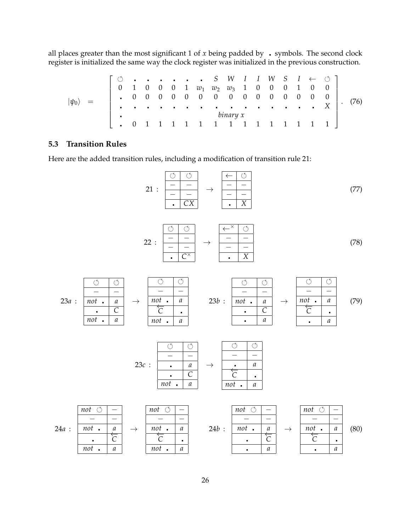all places greater than the most significant 1 of  $x$  being padded by  $\cdot$  symbols. The second clock register is initialized the same way the clock register was initialized in the previous construction.

|*ψ*0i = *S W I I W S I* ← 0 1 0 0 0 1 *w*<sup>1</sup> *w*<sup>2</sup> *w*<sup>3</sup> 1 0 0 0 1 0 0 0 0 0 0 0 0 0 0 0 0 0 0 0 0 0 *X binary x* 0 1 1 1 1 1 1 1 1 1 1 1 1 1 1 . (76)

## **5.3 Transition Rules**

Here are the added transition rules, including a modification of transition rule 21:

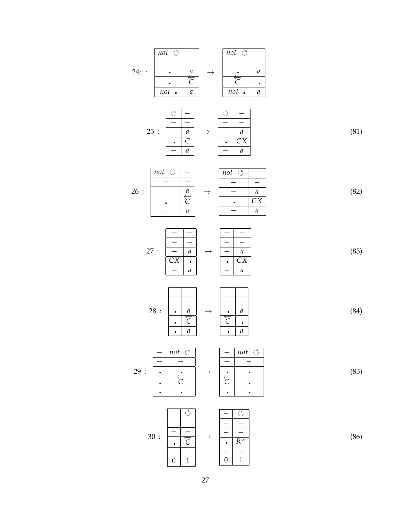24*c* : *not* − − − *a* ←−*C not a* → *not* − − − *a* ←−*<sup>C</sup> not a* 25 : − − − − *a C* − *a* → − − − − *a CX* − *a* (81) 26 : *not* − − − − *a* ←−*C* − *a* → *not* − − − − *a CX* − *a* (82) 27 : − − − − − *a CX* − *a* → − − − − − *a CX* − *a* (83) 28 : − − − − *a* ←−*C a* → − − − − *a* ←−*<sup>C</sup> a* (84) 29 : − *not* − − ←−*C* → − *not* − − ←−*<sup>C</sup>* (85) 30 : − − − − − ←−*C* − − → − − − − − *R* × − − (86)

27

 $0 \mid 1$ 

 $0 \mid 1$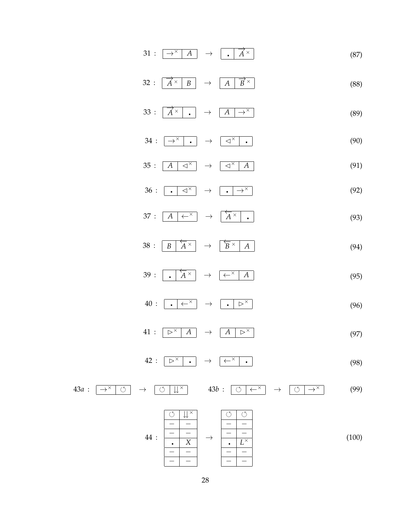- $31 : \Box \rightarrow^{\times} A \rightarrow \Box$ −→*A* × (87)
- $32 : \overrightarrow{A^{\times}}$  $\boxed{B}$   $\rightarrow$   $\boxed{A}$  $\overrightarrow{B}$  × (88)
- $33 : \sqrt{\overline{A}^{\times}}$  $\bullet$   $\rightarrow$   $\boxed{A}$   $\rightarrow^{\times}$ (89)
- $34: \begin{array}{|c|c|c|c|c|}\hline \rightarrow^{\times} & . \end{array} \rightarrow \begin{array}{|c|c|c|}\hline \lhd^{\times} & . \end{array} \tag{90}$
- $35: \begin{array}{|c|c|c|c|c|}\n\hline\nA & \lhd^{\times} & \rightarrow & \begin{array}{|c|c|c|}\n\hline\n\phi^{\times} & A\n\end{array}\n\hline\n\end{array}$ (91)
- $36: \begin{array}{|c|c|c|c|c|}\hline \text{.} & \text{\large $\triangleleft$}^{\times} \\\hline \end{array} \rightarrow \begin{array}{|c|c|c|c|c|}\hline \text{.} & \text{\large $\rightarrow$}^{\times} \\\hline \end{array}$ (92)
- $37: \boxed{A \mid \leftarrow^{\times}} \rightarrow$  $\sqrt{A}$   $\times$  $\times$   $\vert$  .  $\vert$  (93)
- $38 : \boxed{B}$  $\sqrt{A}$   $\times$  $\rightarrow$  $\overleftarrow{B} \times |A|$  (94)
- $39 : \boxed{ \cdot }$ ←−*A*  $\begin{array}{c|c|c}\n \times & \rightarrow & \overline{\leftarrow}^{\times} & A\n\end{array}$ (95)
- $40: \begin{array}{|c|c|c|c|c|}\hline \textbf{.} & \leftrightarrow & \textbf{.} & \triangleright^{\times} \\\hline \end{array}$ (96)
- $41: \Box \triangleright^{\times} \Box A \rightarrow \Box A \triangleright^{\times}$ (97)
- $42: \boxed{\triangleright^\times \cdot \cdot \cdot} \rightarrow \boxed{\leftarrow^\times \cdot \cdot \cdot}$ (98)
- $43a : \left[\begin{array}{c|c} \rightarrow^{\times} & \circlearrowleft \end{array}\right] \rightarrow \left[\begin{array}{c|c} \circlearrowleft \end{array}\right] \downarrow^{\times} \right] \rightarrow 43b : \left[\begin{array}{c|c} \circlearrowleft \end{array}\right] \leftarrow^{\times} \right] \rightarrow \left[\begin{array}{c|c} \circlearrowleft \end{array}\right] \rightarrow^{\times} \right]$  (99)

$$
44 : \begin{array}{|c|c|c|c|c|c|} \hline \circ & \mathbf{1}^{\times} \\ \hline - & - \\ \hline - & - \\ \hline - & - \\ \hline - & - \\ \hline - & - \\ \hline \end{array} \rightarrow \begin{array}{|c|c|c|c|} \hline \circ & \circ \\ \hline - & - \\ \hline - & - \\ \hline - & - \\ \hline - & - \\ \hline - & - \\ \hline \end{array} \tag{100}
$$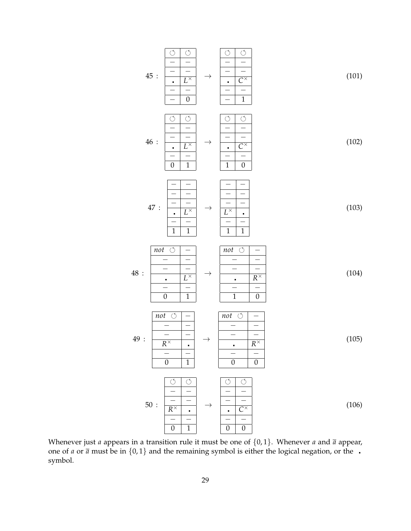

Whenever just *a* appears in a transition rule it must be one of  $\{0, 1\}$ . Whenever *a* and  $\bar{a}$  appear, one of *a* or  $\bar{a}$  must be in {0,1} and the remaining symbol is either the logical negation, or the  $\cdot$ symbol.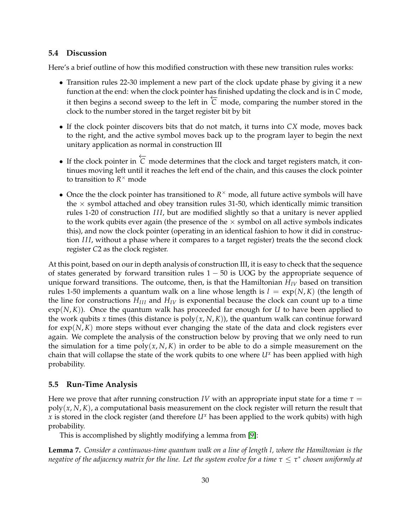#### **5.4 Discussion**

Here's a brief outline of how this modified construction with these new transition rules works:

- Transition rules 22-30 implement a new part of the clock update phase by giving it a new function at the end: when the clock pointer has finished updating the clock and is in *C* mode, it then begins a second sweep to the left in  $\overleftarrow{C}$  mode, comparing the number stored in the clock to the number stored in the target register bit by bit
- If the clock pointer discovers bits that do not match, it turns into *CX* mode, moves back to the right, and the active symbol moves back up to the program layer to begin the next unitary application as normal in construction III
- If the clock pointer in  $\overleftarrow{C}$  mode determines that the clock and target registers match, it continues moving left until it reaches the left end of the chain, and this causes the clock pointer to transition to  $R^{\times}$  mode
- Once the the clock pointer has transitioned to  $R^{\times}$  mode, all future active symbols will have the  $\times$  symbol attached and obey transition rules 31-50, which identically mimic transition rules 1-20 of construction *III*, but are modified slightly so that a unitary is never applied to the work qubits ever again (the presence of the  $\times$  symbol on all active symbols indicates this), and now the clock pointer (operating in an identical fashion to how it did in construction *III*, without a phase where it compares to a target register) treats the the second clock register *C*2 as the clock register.

At this point, based on our in depth analysis of construction III, it is easy to check that the sequence of states generated by forward transition rules  $1 - 50$  is UOG by the appropriate sequence of unique forward transitions. The outcome, then, is that the Hamiltonian  $H_{IV}$  based on transition rules 1-50 implements a quantum walk on a line whose length is  $l = \exp(N, K)$  (the length of the line for constructions  $H_{III}$  and  $H_{IV}$  is exponential because the clock can count up to a time  $exp(N,K)$ ). Once the quantum walk has proceeded far enough for *U* to have been applied to the work qubits *x* times (this distance is  $poly(x, N, K)$ ), the quantum walk can continue forward for exp(*N*, *K*) more steps without ever changing the state of the data and clock registers ever again. We complete the analysis of the construction below by proving that we only need to run the simulation for a time  $poly(x, N, K)$  in order to be able to do a simple measurement on the chain that will collapse the state of the work qubits to one where *U<sup>x</sup>* has been applied with high probability.

#### <span id="page-29-0"></span>**5.5 Run-Time Analysis**

Here we prove that after running construction *IV* with an appropriate input state for a time  $\tau =$ poly(*x*, *N*, *K*), a computational basis measurement on the clock register will return the result that *x* is stored in the clock register (and therefore  $U^x$  has been applied to the work qubits) with high probability.

This is accomplished by slightly modifying a lemma from [\[9\]](#page-32-7):

**Lemma 7.** *Consider a continuous-time quantum walk on a line of length l, where the Hamiltonian is the negative of the adjacency matrix for the line. Let the system evolve for a time τ* ≤ *τ* ∗ *chosen uniformly at*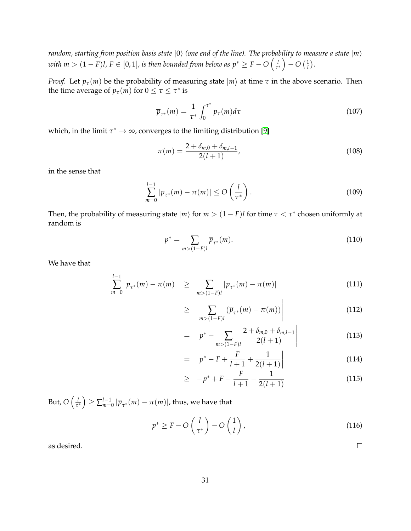*random, starting from position basis state*  $|0\rangle$  *(one end of the line). The probability to measure a state*  $|m\rangle$  $\sigma$  *with m*  $>(1-F)l$ ,  $F\in[0,1]$ , is then bounded from below as  $p^*\geq F-O\left(\frac{1}{\tau}\right)$  $\frac{l}{\tau^*}$ ) – O  $(\frac{1}{l})$ .

*Proof.* Let  $p_\tau(m)$  be the probability of measuring state  $|m\rangle$  at time  $\tau$  in the above scenario. Then the time average of  $p_\tau(m)$  for  $0 \leq \tau \leq \tau^*$  is

$$
\overline{p}_{\tau^*}(m) = \frac{1}{\tau^*} \int_0^{\tau^*} p_\tau(m) d\tau \tag{107}
$$

which, in the limit  $\tau^* \to \infty$ , converges to the limiting distribution [\[9\]](#page-32-7)

$$
\pi(m) = \frac{2 + \delta_{m,0} + \delta_{m,l-1}}{2(l+1)},
$$
\n(108)

in the sense that

$$
\sum_{m=0}^{l-1} |\overline{p}_{\tau^*}(m) - \pi(m)| \le O\left(\frac{l}{\tau^*}\right).
$$
\n(109)

Then, the probability of measuring state  $|m\rangle$  for  $m > (1 - F)l$  for time  $\tau < \tau^*$  chosen uniformly at random is

$$
p^* = \sum_{m > (1-F)l} \overline{p}_{\tau^*}(m).
$$
 (110)

We have that

$$
\sum_{m=0}^{l-1} |\overline{p}_{\tau^*}(m) - \pi(m)| \geq \sum_{m > (1-F)l} |\overline{p}_{\tau^*}(m) - \pi(m)| \tag{111}
$$

$$
\geq \left| \sum_{m > (1-F)l} (\overline{p}_{\tau^*}(m) - \pi(m)) \right| \tag{112}
$$

$$
= \left| p^* - \sum_{m > (1-F)l} \frac{2 + \delta_{m,0} + \delta_{m,l-1}}{2(l+1)} \right| \tag{113}
$$

$$
= \left| p^* - F + \frac{F}{l+1} + \frac{1}{2(l+1)} \right| \tag{114}
$$

$$
\geq -p^* + F - \frac{F}{l+1} - \frac{1}{2(l+1)}
$$
\n(115)

But, *O l*  $\left(\frac{l}{\tau^*}\right) \geq \sum_{m=0}^{l-1} |\overline{p}_{\tau^*}(m) - \pi(m)|$ , thus, we have that

$$
p^* \ge F - O\left(\frac{l}{\tau^*}\right) - O\left(\frac{1}{l}\right),\tag{116}
$$

as desired.

 $\Box$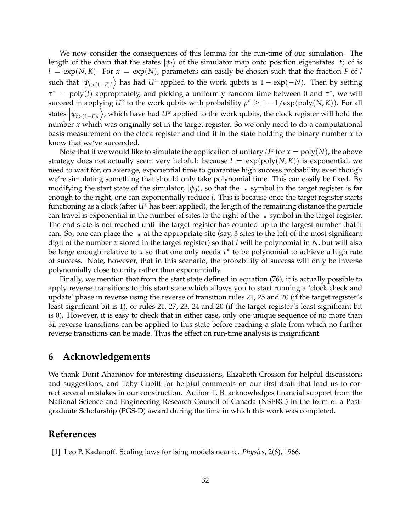We now consider the consequences of this lemma for the run-time of our simulation. The length of the chain that the states  $|\psi_t\rangle$  of the simulator map onto position eigenstates  $|t\rangle$  of is  $l = \exp(N, K)$ . For  $x = \exp(N)$ , parameters can easily be chosen such that the fraction *F* of *l* such that  $|\psi_{t>(1-F)l}\rangle$  has had *U<sup>x</sup>* applied to the work qubits is  $1 - \exp(-N)$ . Then by setting *τ* <sup>∗</sup> = poly(*l*) appropriately, and picking a uniformly random time between 0 and *τ* ∗ , we will succeed in applying *U<sup>x</sup>* to the work qubits with probability  $p^* \geq 1 - 1/\exp(\text{poly}(N,K))$ . For all states  $|\psi_{t>(1-F)l}\rangle$ , which have had *U<sup>x</sup>* applied to the work qubits, the clock register will hold the number *x* which was originally set in the target register. So we only need to do a computational basis measurement on the clock register and find it in the state holding the binary number *x* to know that we've succeeded.

Note that if we would like to simulate the application of unitary  $U^x$  for  $x = \text{poly}(N)$ , the above strategy does not actually seem very helpful: because  $l = \exp(\text{poly}(N, K))$  is exponential, we need to wait for, on average, exponential time to guarantee high success probability even though we're simulating something that should only take polynomial time. This can easily be fixed. By modifying the start state of the simulator,  $|\psi_0\rangle$ , so that the symbol in the target register is far enough to the right, one can exponentially reduce *l*. This is because once the target register starts functioning as a clock (after *U<sup>x</sup>* has been applied), the length of the remaining distance the particle can travel is exponential in the number of sites to the right of the  $\cdot$  symbol in the target register. The end state is not reached until the target register has counted up to the largest number that it can. So, one can place the  $\cdot$  at the appropriate site (say, 3 sites to the left of the most significant digit of the number *x* stored in the target register) so that *l* will be polynomial in *N*, but will also be large enough relative to *x* so that one only needs *τ* ∗ to be polynomial to achieve a high rate of success. Note, however, that in this scenario, the probability of success will only be inverse polynomially close to unity rather than exponentially.

Finally, we mention that from the start state defined in equation (76), it is actually possible to apply reverse transitions to this start state which allows you to start running a 'clock check and update' phase in reverse using the reverse of transition rules 21, 25 and 20 (if the target register's least significant bit is 1), or rules 21, 27, 23, 24 and 20 (if the target register's least significant bit is 0). However, it is easy to check that in either case, only one unique sequence of no more than 3*L* reverse transitions can be applied to this state before reaching a state from which no further reverse transitions can be made. Thus the effect on run-time analysis is insignificant.

## **6 Acknowledgements**

We thank Dorit Aharonov for interesting discussions, Elizabeth Crosson for helpful discussions and suggestions, and Toby Cubitt for helpful comments on our first draft that lead us to correct several mistakes in our construction. Author T. B. acknowledges financial support from the National Science and Engineering Research Council of Canada (NSERC) in the form of a Postgraduate Scholarship (PGS-D) award during the time in which this work was completed.

# **References**

<span id="page-31-0"></span>[1] Leo P. Kadanoff. Scaling laws for ising models near tc. *Physics*, 2(6), 1966.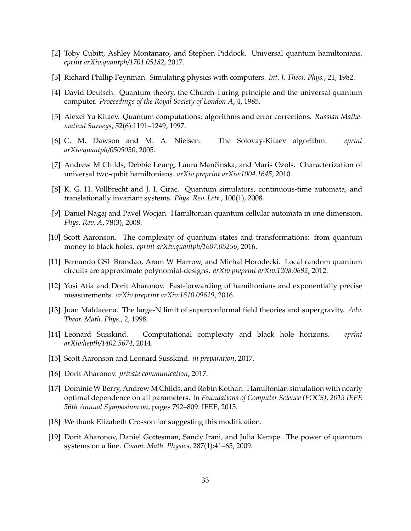- <span id="page-32-0"></span>[2] Toby Cubitt, Ashley Montanaro, and Stephen Piddock. Universal quantum hamiltonians. *eprint arXiv:quantph/1701.05182*, 2017.
- <span id="page-32-1"></span>[3] Richard Phillip Feynman. Simulating physics with computers. *Int. J. Theor. Phys.*, 21, 1982.
- <span id="page-32-2"></span>[4] David Deutsch. Quantum theory, the Church-Turing principle and the universal quantum computer. *Proceedings of the Royal Society of London A*, 4, 1985.
- <span id="page-32-3"></span>[5] Alexei Yu Kitaev. Quantum computations: algorithms and error corrections. *Russian Mathematical Surveys*, 52(6):1191–1249, 1997.
- <span id="page-32-4"></span>[6] C. M. Dawson and M. A. Nielsen. The Solovay-Kitaev algorithm. *eprint arXiv:quantph/0505030*, 2005.
- <span id="page-32-5"></span>[7] Andrew M Childs, Debbie Leung, Laura Mančinska, and Maris Ozols. Characterization of universal two-qubit hamiltonians. *arXiv preprint arXiv:1004.1645*, 2010.
- <span id="page-32-6"></span>[8] K. G. H. Vollbrecht and J. I. Cirac. Quantum simulators, continuous-time automata, and translationally invariant systems. *Phys. Rev. Lett.*, 100(1), 2008.
- <span id="page-32-7"></span>[9] Daniel Nagaj and Pavel Wocjan. Hamiltonian quantum cellular automata in one dimension. *Phys. Rev. A*, 78(3), 2008.
- <span id="page-32-8"></span>[10] Scott Aaronson. The complexity of quantum states and transformations: from quantum money to black holes. *eprint arXiv:quantph/1607.05256*, 2016.
- <span id="page-32-9"></span>[11] Fernando GSL Brandao, Aram W Harrow, and Michal Horodecki. Local random quantum circuits are approximate polynomial-designs. *arXiv preprint arXiv:1208.0692*, 2012.
- <span id="page-32-10"></span>[12] Yosi Atia and Dorit Aharonov. Fast-forwarding of hamiltonians and exponentially precise measurements. *arXiv preprint arXiv:1610.09619*, 2016.
- <span id="page-32-11"></span>[13] Juan Maldacena. The large-N limit of superconformal field theories and supergravity. *Adv. Theor. Math. Phys.*, 2, 1998.
- <span id="page-32-12"></span>[14] Leonard Susskind. Computational complexity and black hole horizons. *eprint arXiv:hepth/1402.5674*, 2014.
- <span id="page-32-13"></span>[15] Scott Aaronson and Leonard Susskind. *in preparation*, 2017.
- <span id="page-32-14"></span>[16] Dorit Aharonov. *private communication*, 2017.
- <span id="page-32-15"></span>[17] Dominic W Berry, Andrew M Childs, and Robin Kothari. Hamiltonian simulation with nearly optimal dependence on all parameters. In *Foundations of Computer Science (FOCS), 2015 IEEE 56th Annual Symposium on*, pages 792–809. IEEE, 2015.
- <span id="page-32-16"></span>[18] We thank Elizabeth Crosson for suggesting this modification.
- <span id="page-32-17"></span>[19] Dorit Aharonov, Daniel Gottesman, Sandy Irani, and Julia Kempe. The power of quantum systems on a line. *Comm. Math. Physics*, 287(1):41–65, 2009.